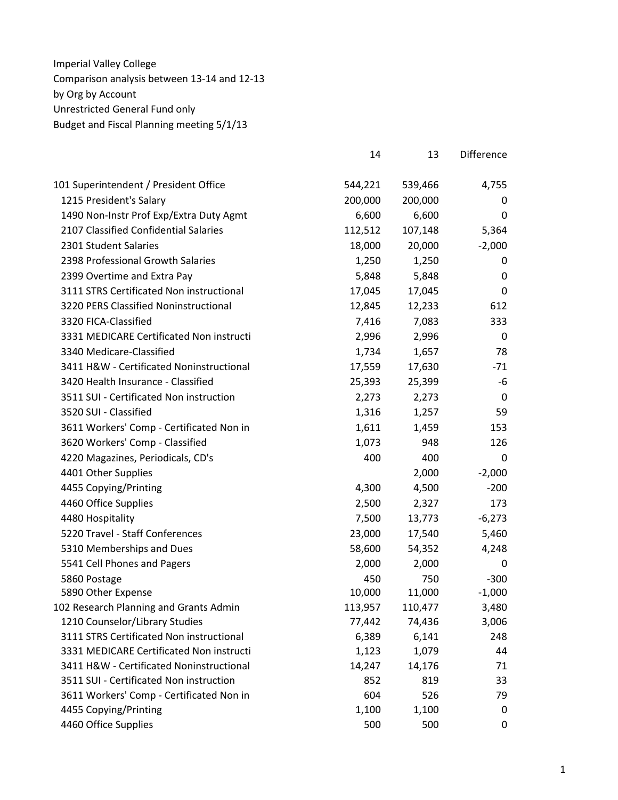|                                          | 14      | 13      | Difference  |
|------------------------------------------|---------|---------|-------------|
| 101 Superintendent / President Office    | 544,221 | 539,466 | 4,755       |
| 1215 President's Salary                  | 200,000 | 200,000 | 0           |
| 1490 Non-Instr Prof Exp/Extra Duty Agmt  | 6,600   | 6,600   | 0           |
| 2107 Classified Confidential Salaries    | 112,512 | 107,148 | 5,364       |
| 2301 Student Salaries                    | 18,000  | 20,000  | $-2,000$    |
| 2398 Professional Growth Salaries        | 1,250   | 1,250   | 0           |
| 2399 Overtime and Extra Pay              | 5,848   | 5,848   | 0           |
| 3111 STRS Certificated Non instructional | 17,045  | 17,045  | $\mathbf 0$ |
| 3220 PERS Classified Noninstructional    | 12,845  | 12,233  | 612         |
| 3320 FICA-Classified                     | 7,416   | 7,083   | 333         |
| 3331 MEDICARE Certificated Non instructi | 2,996   | 2,996   | 0           |
| 3340 Medicare-Classified                 | 1,734   | 1,657   | 78          |
| 3411 H&W - Certificated Noninstructional | 17,559  | 17,630  | $-71$       |
| 3420 Health Insurance - Classified       | 25,393  | 25,399  | -6          |
| 3511 SUI - Certificated Non instruction  | 2,273   | 2,273   | 0           |
| 3520 SUI - Classified                    | 1,316   | 1,257   | 59          |
| 3611 Workers' Comp - Certificated Non in | 1,611   | 1,459   | 153         |
| 3620 Workers' Comp - Classified          | 1,073   | 948     | 126         |
| 4220 Magazines, Periodicals, CD's        | 400     | 400     | 0           |
| 4401 Other Supplies                      |         | 2,000   | $-2,000$    |
| 4455 Copying/Printing                    | 4,300   | 4,500   | $-200$      |
| 4460 Office Supplies                     | 2,500   | 2,327   | 173         |
| 4480 Hospitality                         | 7,500   | 13,773  | $-6,273$    |
| 5220 Travel - Staff Conferences          | 23,000  | 17,540  | 5,460       |
| 5310 Memberships and Dues                | 58,600  | 54,352  | 4,248       |
| 5541 Cell Phones and Pagers              | 2,000   | 2,000   | 0           |
| 5860 Postage                             | 450     | 750     | $-300$      |
| 5890 Other Expense                       | 10,000  | 11,000  | $-1,000$    |
| 102 Research Planning and Grants Admin   | 113,957 | 110,477 | 3,480       |
| 1210 Counselor/Library Studies           | 77,442  | 74,436  | 3,006       |
| 3111 STRS Certificated Non instructional | 6,389   | 6,141   | 248         |
| 3331 MEDICARE Certificated Non instructi | 1,123   | 1,079   | 44          |
| 3411 H&W - Certificated Noninstructional | 14,247  | 14,176  | 71          |
| 3511 SUI - Certificated Non instruction  | 852     | 819     | 33          |
| 3611 Workers' Comp - Certificated Non in | 604     | 526     | 79          |
| 4455 Copying/Printing                    | 1,100   | 1,100   | 0           |
| 4460 Office Supplies                     | 500     | 500     | 0           |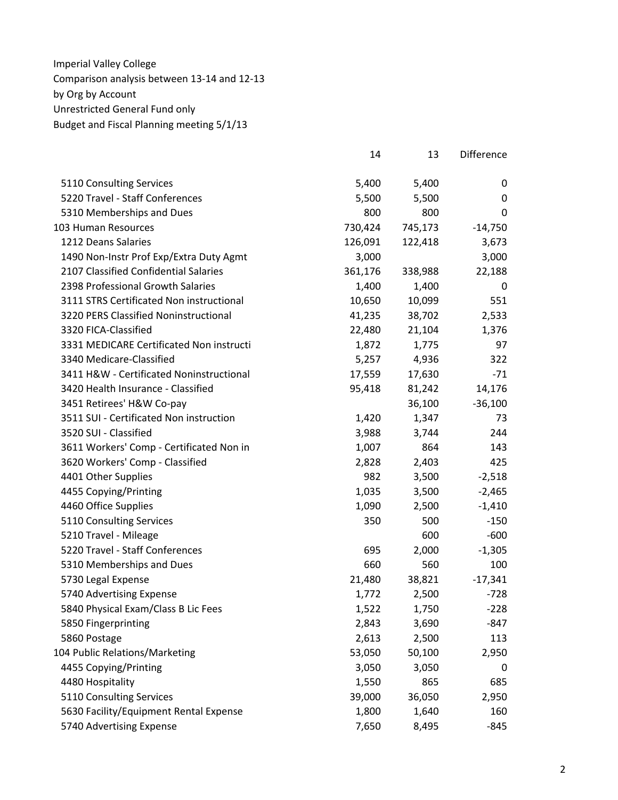|                                          | 14      | 13      | Difference |
|------------------------------------------|---------|---------|------------|
| 5110 Consulting Services                 | 5,400   | 5,400   | 0          |
| 5220 Travel - Staff Conferences          | 5,500   | 5,500   | 0          |
| 5310 Memberships and Dues                | 800     | 800     | 0          |
| 103 Human Resources                      | 730,424 | 745,173 | $-14,750$  |
| 1212 Deans Salaries                      | 126,091 | 122,418 | 3,673      |
| 1490 Non-Instr Prof Exp/Extra Duty Agmt  | 3,000   |         | 3,000      |
| 2107 Classified Confidential Salaries    | 361,176 | 338,988 | 22,188     |
| 2398 Professional Growth Salaries        | 1,400   | 1,400   | 0          |
| 3111 STRS Certificated Non instructional | 10,650  | 10,099  | 551        |
| 3220 PERS Classified Noninstructional    | 41,235  | 38,702  | 2,533      |
| 3320 FICA-Classified                     | 22,480  | 21,104  | 1,376      |
| 3331 MEDICARE Certificated Non instructi | 1,872   | 1,775   | 97         |
| 3340 Medicare-Classified                 | 5,257   | 4,936   | 322        |
| 3411 H&W - Certificated Noninstructional | 17,559  | 17,630  | $-71$      |
| 3420 Health Insurance - Classified       | 95,418  | 81,242  | 14,176     |
| 3451 Retirees' H&W Co-pay                |         | 36,100  | $-36,100$  |
| 3511 SUI - Certificated Non instruction  | 1,420   | 1,347   | 73         |
| 3520 SUI - Classified                    | 3,988   | 3,744   | 244        |
| 3611 Workers' Comp - Certificated Non in | 1,007   | 864     | 143        |
| 3620 Workers' Comp - Classified          | 2,828   | 2,403   | 425        |
| 4401 Other Supplies                      | 982     | 3,500   | $-2,518$   |
| 4455 Copying/Printing                    | 1,035   | 3,500   | $-2,465$   |
| 4460 Office Supplies                     | 1,090   | 2,500   | $-1,410$   |
| 5110 Consulting Services                 | 350     | 500     | $-150$     |
| 5210 Travel - Mileage                    |         | 600     | $-600$     |
| 5220 Travel - Staff Conferences          | 695     | 2,000   | $-1,305$   |
| 5310 Memberships and Dues                | 660     | 560     | 100        |
| 5730 Legal Expense                       | 21,480  | 38,821  | $-17,341$  |
| 5740 Advertising Expense                 | 1,772   | 2,500   | $-728$     |
| 5840 Physical Exam/Class B Lic Fees      | 1,522   | 1,750   | $-228$     |
| 5850 Fingerprinting                      | 2,843   | 3,690   | $-847$     |
| 5860 Postage                             | 2,613   | 2,500   | 113        |
| 104 Public Relations/Marketing           | 53,050  | 50,100  | 2,950      |
| 4455 Copying/Printing                    | 3,050   | 3,050   | 0          |
| 4480 Hospitality                         | 1,550   | 865     | 685        |
| 5110 Consulting Services                 | 39,000  | 36,050  | 2,950      |
| 5630 Facility/Equipment Rental Expense   | 1,800   | 1,640   | 160        |
| 5740 Advertising Expense                 | 7,650   | 8,495   | $-845$     |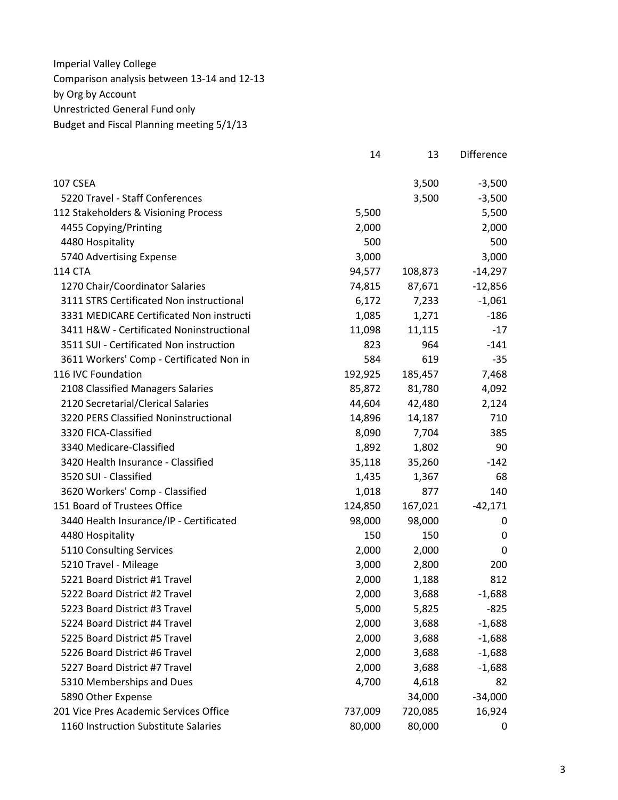|                                          | 14      | 13      | Difference       |
|------------------------------------------|---------|---------|------------------|
| 107 CSEA                                 |         | 3,500   | $-3,500$         |
| 5220 Travel - Staff Conferences          |         | 3,500   | $-3,500$         |
| 112 Stakeholders & Visioning Process     | 5,500   |         | 5,500            |
| 4455 Copying/Printing                    | 2,000   |         | 2,000            |
| 4480 Hospitality                         | 500     |         | 500              |
| 5740 Advertising Expense                 | 3,000   |         | 3,000            |
| 114 CTA                                  | 94,577  | 108,873 | $-14,297$        |
| 1270 Chair/Coordinator Salaries          | 74,815  | 87,671  | $-12,856$        |
| 3111 STRS Certificated Non instructional | 6,172   | 7,233   | $-1,061$         |
| 3331 MEDICARE Certificated Non instructi | 1,085   | 1,271   | $-186$           |
| 3411 H&W - Certificated Noninstructional | 11,098  | 11,115  | $-17$            |
| 3511 SUI - Certificated Non instruction  | 823     | 964     | $-141$           |
| 3611 Workers' Comp - Certificated Non in | 584     | 619     | $-35$            |
| 116 IVC Foundation                       | 192,925 | 185,457 | 7,468            |
| 2108 Classified Managers Salaries        | 85,872  | 81,780  | 4,092            |
| 2120 Secretarial/Clerical Salaries       | 44,604  | 42,480  | 2,124            |
| 3220 PERS Classified Noninstructional    | 14,896  | 14,187  | 710              |
| 3320 FICA-Classified                     | 8,090   | 7,704   | 385              |
| 3340 Medicare-Classified                 | 1,892   | 1,802   | 90               |
| 3420 Health Insurance - Classified       | 35,118  | 35,260  | $-142$           |
| 3520 SUI - Classified                    | 1,435   | 1,367   | 68               |
| 3620 Workers' Comp - Classified          | 1,018   | 877     | 140              |
| 151 Board of Trustees Office             | 124,850 | 167,021 | $-42,171$        |
| 3440 Health Insurance/IP - Certificated  | 98,000  | 98,000  | 0                |
| 4480 Hospitality                         | 150     | 150     | $\boldsymbol{0}$ |
| 5110 Consulting Services                 | 2,000   | 2,000   | 0                |
| 5210 Travel - Mileage                    | 3,000   | 2,800   | 200              |
| 5221 Board District #1 Travel            | 2,000   | 1,188   | 812              |
| 5222 Board District #2 Travel            | 2,000   | 3,688   | $-1,688$         |
| 5223 Board District #3 Travel            | 5,000   | 5,825   | $-825$           |
| 5224 Board District #4 Travel            | 2,000   | 3,688   | $-1,688$         |
| 5225 Board District #5 Travel            | 2,000   | 3,688   | $-1,688$         |
| 5226 Board District #6 Travel            | 2,000   | 3,688   | $-1,688$         |
| 5227 Board District #7 Travel            | 2,000   | 3,688   | $-1,688$         |
| 5310 Memberships and Dues                | 4,700   | 4,618   | 82               |
| 5890 Other Expense                       |         | 34,000  | $-34,000$        |
| 201 Vice Pres Academic Services Office   | 737,009 | 720,085 | 16,924           |
| 1160 Instruction Substitute Salaries     | 80,000  | 80,000  | 0                |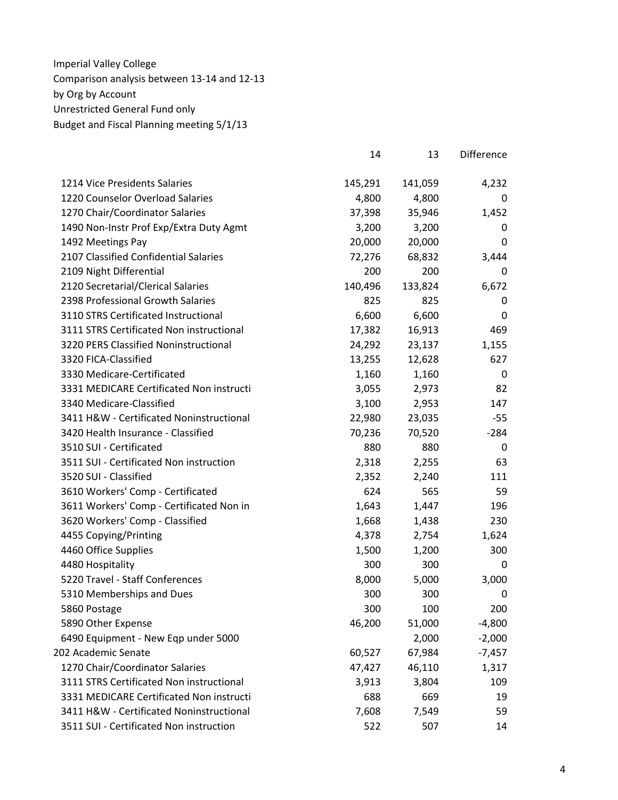|                                          | 14      | 13      | Difference |
|------------------------------------------|---------|---------|------------|
| 1214 Vice Presidents Salaries            | 145,291 | 141,059 | 4,232      |
| 1220 Counselor Overload Salaries         | 4,800   | 4,800   | 0          |
| 1270 Chair/Coordinator Salaries          | 37,398  | 35,946  | 1,452      |
| 1490 Non-Instr Prof Exp/Extra Duty Agmt  | 3,200   | 3,200   | 0          |
| 1492 Meetings Pay                        | 20,000  | 20,000  | 0          |
| 2107 Classified Confidential Salaries    | 72,276  | 68,832  | 3,444      |
| 2109 Night Differential                  | 200     | 200     | 0          |
| 2120 Secretarial/Clerical Salaries       | 140,496 | 133,824 | 6,672      |
| 2398 Professional Growth Salaries        | 825     | 825     | 0          |
| 3110 STRS Certificated Instructional     | 6,600   | 6,600   | 0          |
| 3111 STRS Certificated Non instructional | 17,382  | 16,913  | 469        |
| 3220 PERS Classified Noninstructional    | 24,292  | 23,137  | 1,155      |
| 3320 FICA-Classified                     | 13,255  | 12,628  | 627        |
| 3330 Medicare-Certificated               | 1,160   | 1,160   | 0          |
| 3331 MEDICARE Certificated Non instructi | 3,055   | 2,973   | 82         |
| 3340 Medicare-Classified                 | 3,100   | 2,953   | 147        |
| 3411 H&W - Certificated Noninstructional | 22,980  | 23,035  | $-55$      |
| 3420 Health Insurance - Classified       | 70,236  | 70,520  | $-284$     |
| 3510 SUI - Certificated                  | 880     | 880     | 0          |
| 3511 SUI - Certificated Non instruction  | 2,318   | 2,255   | 63         |
| 3520 SUI - Classified                    | 2,352   | 2,240   | 111        |
| 3610 Workers' Comp - Certificated        | 624     | 565     | 59         |
| 3611 Workers' Comp - Certificated Non in | 1,643   | 1,447   | 196        |
| 3620 Workers' Comp - Classified          | 1,668   | 1,438   | 230        |
| 4455 Copying/Printing                    | 4,378   | 2,754   | 1,624      |
| 4460 Office Supplies                     | 1,500   | 1,200   | 300        |
| 4480 Hospitality                         | 300     | 300     | 0          |
| 5220 Travel - Staff Conferences          | 8,000   | 5,000   | 3,000      |
| 5310 Memberships and Dues                | 300     | 300     | 0          |
| 5860 Postage                             | 300     | 100     | 200        |
| 5890 Other Expense                       | 46,200  | 51,000  | $-4,800$   |
| 6490 Equipment - New Eqp under 5000      |         | 2,000   | $-2,000$   |
| 202 Academic Senate                      | 60,527  | 67,984  | $-7,457$   |
| 1270 Chair/Coordinator Salaries          | 47,427  | 46,110  | 1,317      |
| 3111 STRS Certificated Non instructional | 3,913   | 3,804   | 109        |
| 3331 MEDICARE Certificated Non instructi | 688     | 669     | 19         |
| 3411 H&W - Certificated Noninstructional | 7,608   | 7,549   | 59         |
| 3511 SUI - Certificated Non instruction  | 522     | 507     | 14         |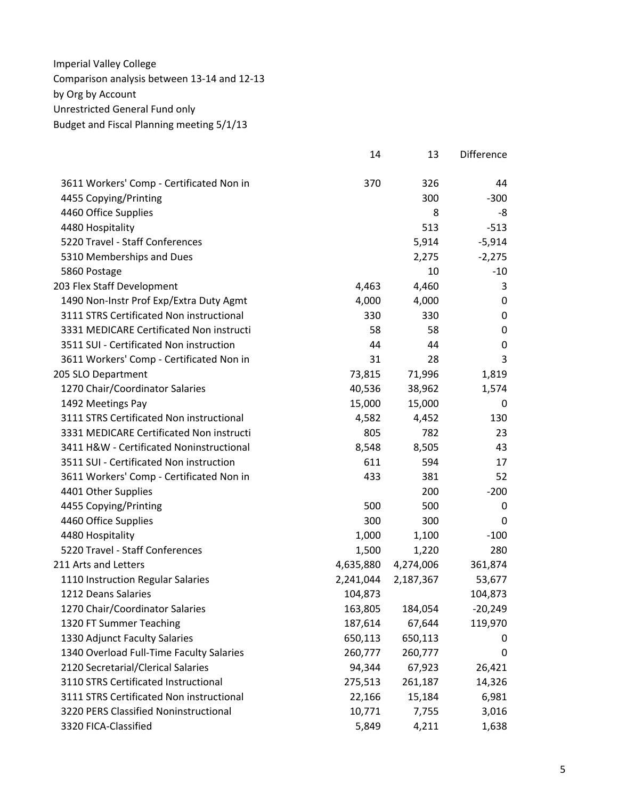|                                          | 14        | 13        | Difference       |
|------------------------------------------|-----------|-----------|------------------|
| 3611 Workers' Comp - Certificated Non in | 370       | 326       | 44               |
| 4455 Copying/Printing                    |           | 300       | $-300$           |
| 4460 Office Supplies                     |           | 8         | -8               |
| 4480 Hospitality                         |           | 513       | $-513$           |
| 5220 Travel - Staff Conferences          |           | 5,914     | $-5,914$         |
| 5310 Memberships and Dues                |           | 2,275     | $-2,275$         |
| 5860 Postage                             |           | 10        | $-10$            |
| 203 Flex Staff Development               | 4,463     | 4,460     | 3                |
| 1490 Non-Instr Prof Exp/Extra Duty Agmt  | 4,000     | 4,000     | 0                |
| 3111 STRS Certificated Non instructional | 330       | 330       | 0                |
| 3331 MEDICARE Certificated Non instructi | 58        | 58        | $\mathbf 0$      |
| 3511 SUI - Certificated Non instruction  | 44        | 44        | $\boldsymbol{0}$ |
| 3611 Workers' Comp - Certificated Non in | 31        | 28        | 3                |
| 205 SLO Department                       | 73,815    | 71,996    | 1,819            |
| 1270 Chair/Coordinator Salaries          | 40,536    | 38,962    | 1,574            |
| 1492 Meetings Pay                        | 15,000    | 15,000    | 0                |
| 3111 STRS Certificated Non instructional | 4,582     | 4,452     | 130              |
| 3331 MEDICARE Certificated Non instructi | 805       | 782       | 23               |
| 3411 H&W - Certificated Noninstructional | 8,548     | 8,505     | 43               |
| 3511 SUI - Certificated Non instruction  | 611       | 594       | 17               |
| 3611 Workers' Comp - Certificated Non in | 433       | 381       | 52               |
| 4401 Other Supplies                      |           | 200       | $-200$           |
| 4455 Copying/Printing                    | 500       | 500       | 0                |
| 4460 Office Supplies                     | 300       | 300       | 0                |
| 4480 Hospitality                         | 1,000     | 1,100     | $-100$           |
| 5220 Travel - Staff Conferences          | 1,500     | 1,220     | 280              |
| 211 Arts and Letters                     | 4,635,880 | 4,274,006 | 361,874          |
| 1110 Instruction Regular Salaries        | 2,241,044 | 2,187,367 | 53,677           |
| 1212 Deans Salaries                      | 104,873   |           | 104,873          |
| 1270 Chair/Coordinator Salaries          | 163,805   | 184,054   | $-20,249$        |
| 1320 FT Summer Teaching                  | 187,614   | 67,644    | 119,970          |
| 1330 Adjunct Faculty Salaries            | 650,113   | 650,113   | 0                |
| 1340 Overload Full-Time Faculty Salaries | 260,777   | 260,777   | 0                |
| 2120 Secretarial/Clerical Salaries       | 94,344    | 67,923    | 26,421           |
| 3110 STRS Certificated Instructional     | 275,513   | 261,187   | 14,326           |
| 3111 STRS Certificated Non instructional | 22,166    | 15,184    | 6,981            |
| 3220 PERS Classified Noninstructional    | 10,771    | 7,755     | 3,016            |
| 3320 FICA-Classified                     | 5,849     | 4,211     | 1,638            |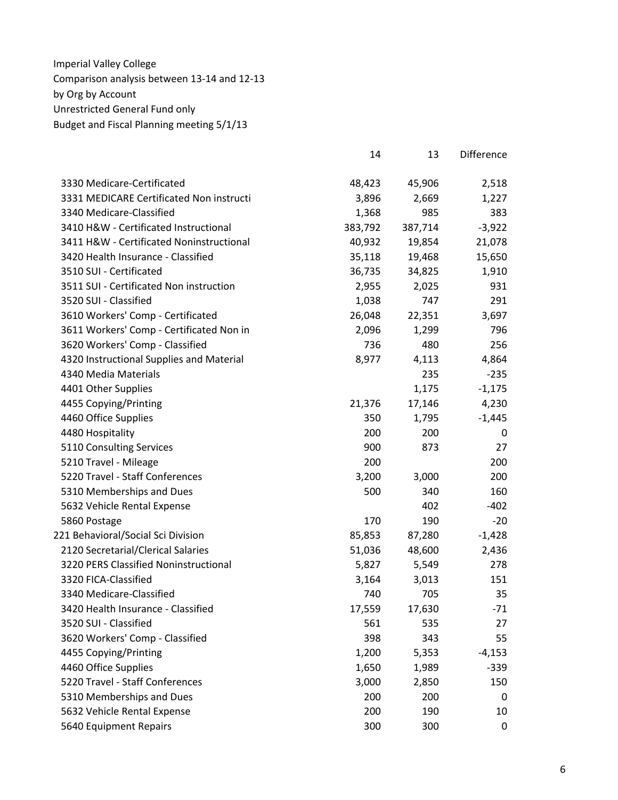|                                          | 14      | 13      | <b>Difference</b> |
|------------------------------------------|---------|---------|-------------------|
| 3330 Medicare-Certificated               | 48,423  | 45,906  | 2,518             |
| 3331 MEDICARE Certificated Non instructi | 3,896   | 2,669   | 1,227             |
| 3340 Medicare-Classified                 | 1,368   | 985     | 383               |
| 3410 H&W - Certificated Instructional    | 383,792 | 387,714 | $-3,922$          |
| 3411 H&W - Certificated Noninstructional | 40,932  | 19,854  | 21,078            |
| 3420 Health Insurance - Classified       | 35,118  | 19,468  | 15,650            |
| 3510 SUI - Certificated                  | 36,735  | 34,825  | 1,910             |
| 3511 SUI - Certificated Non instruction  | 2,955   | 2,025   | 931               |
| 3520 SUI - Classified                    | 1,038   | 747     | 291               |
| 3610 Workers' Comp - Certificated        | 26,048  | 22,351  | 3,697             |
| 3611 Workers' Comp - Certificated Non in | 2,096   | 1,299   | 796               |
| 3620 Workers' Comp - Classified          | 736     | 480     | 256               |
| 4320 Instructional Supplies and Material | 8,977   | 4,113   | 4,864             |
| 4340 Media Materials                     |         | 235     | $-235$            |
| 4401 Other Supplies                      |         | 1,175   | $-1,175$          |
| 4455 Copying/Printing                    | 21,376  | 17,146  | 4,230             |
| 4460 Office Supplies                     | 350     | 1,795   | $-1,445$          |
| 4480 Hospitality                         | 200     | 200     | 0                 |
| 5110 Consulting Services                 | 900     | 873     | 27                |
| 5210 Travel - Mileage                    | 200     |         | 200               |
| 5220 Travel - Staff Conferences          | 3,200   | 3,000   | 200               |
| 5310 Memberships and Dues                | 500     | 340     | 160               |
| 5632 Vehicle Rental Expense              |         | 402     | $-402$            |
| 5860 Postage                             | 170     | 190     | $-20$             |
| 221 Behavioral/Social Sci Division       | 85,853  | 87,280  | $-1,428$          |
| 2120 Secretarial/Clerical Salaries       | 51,036  | 48,600  | 2,436             |
| 3220 PERS Classified Noninstructional    | 5,827   | 5,549   | 278               |
| 3320 FICA-Classified                     | 3,164   | 3,013   | 151               |
| 3340 Medicare-Classified                 | 740     | 705     | 35                |
| 3420 Health Insurance - Classified       | 17,559  | 17,630  | $-71$             |
| 3520 SUI - Classified                    | 561     | 535     | 27                |
| 3620 Workers' Comp - Classified          | 398     | 343     | 55                |
| 4455 Copying/Printing                    | 1,200   | 5,353   | $-4,153$          |
| 4460 Office Supplies                     | 1,650   | 1,989   | $-339$            |
| 5220 Travel - Staff Conferences          | 3,000   | 2,850   | 150               |
| 5310 Memberships and Dues                | 200     | 200     | 0                 |
| 5632 Vehicle Rental Expense              | 200     | 190     | 10                |
| 5640 Equipment Repairs                   | 300     | 300     | 0                 |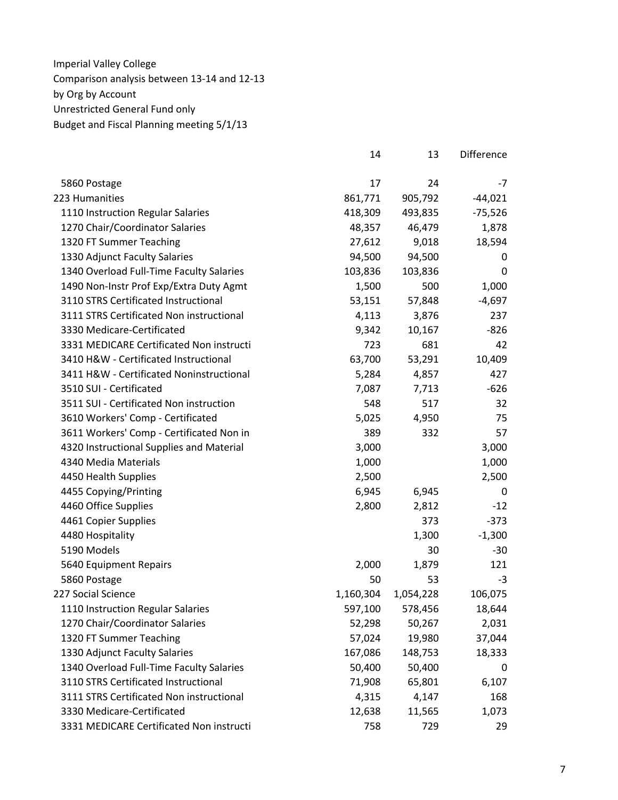|                                          | 14        | 13        | Difference |
|------------------------------------------|-----------|-----------|------------|
| 5860 Postage                             | 17        | 24        | $-7$       |
| 223 Humanities                           | 861,771   | 905,792   | $-44,021$  |
| 1110 Instruction Regular Salaries        | 418,309   | 493,835   | $-75,526$  |
| 1270 Chair/Coordinator Salaries          | 48,357    | 46,479    | 1,878      |
| 1320 FT Summer Teaching                  | 27,612    | 9,018     | 18,594     |
| 1330 Adjunct Faculty Salaries            | 94,500    | 94,500    | 0          |
| 1340 Overload Full-Time Faculty Salaries | 103,836   | 103,836   | 0          |
| 1490 Non-Instr Prof Exp/Extra Duty Agmt  | 1,500     | 500       | 1,000      |
| 3110 STRS Certificated Instructional     | 53,151    | 57,848    | $-4,697$   |
| 3111 STRS Certificated Non instructional | 4,113     | 3,876     | 237        |
| 3330 Medicare-Certificated               | 9,342     | 10,167    | $-826$     |
| 3331 MEDICARE Certificated Non instructi | 723       | 681       | 42         |
| 3410 H&W - Certificated Instructional    | 63,700    | 53,291    | 10,409     |
| 3411 H&W - Certificated Noninstructional | 5,284     | 4,857     | 427        |
| 3510 SUI - Certificated                  | 7,087     | 7,713     | $-626$     |
| 3511 SUI - Certificated Non instruction  | 548       | 517       | 32         |
| 3610 Workers' Comp - Certificated        | 5,025     | 4,950     | 75         |
| 3611 Workers' Comp - Certificated Non in | 389       | 332       | 57         |
| 4320 Instructional Supplies and Material | 3,000     |           | 3,000      |
| 4340 Media Materials                     | 1,000     |           | 1,000      |
| 4450 Health Supplies                     | 2,500     |           | 2,500      |
| 4455 Copying/Printing                    | 6,945     | 6,945     | 0          |
| 4460 Office Supplies                     | 2,800     | 2,812     | $-12$      |
| 4461 Copier Supplies                     |           | 373       | $-373$     |
| 4480 Hospitality                         |           | 1,300     | $-1,300$   |
| 5190 Models                              |           | 30        | $-30$      |
| 5640 Equipment Repairs                   | 2,000     | 1,879     | 121        |
| 5860 Postage                             | 50        | 53        | $-3$       |
| 227 Social Science                       | 1,160,304 | 1,054,228 | 106,075    |
| 1110 Instruction Regular Salaries        | 597,100   | 578,456   | 18,644     |
| 1270 Chair/Coordinator Salaries          | 52,298    | 50,267    | 2,031      |
| 1320 FT Summer Teaching                  | 57,024    | 19,980    | 37,044     |
| 1330 Adjunct Faculty Salaries            | 167,086   | 148,753   | 18,333     |
| 1340 Overload Full-Time Faculty Salaries | 50,400    | 50,400    | 0          |
| 3110 STRS Certificated Instructional     | 71,908    | 65,801    | 6,107      |
| 3111 STRS Certificated Non instructional | 4,315     | 4,147     | 168        |
| 3330 Medicare-Certificated               | 12,638    | 11,565    | 1,073      |
| 3331 MEDICARE Certificated Non instructi | 758       | 729       | 29         |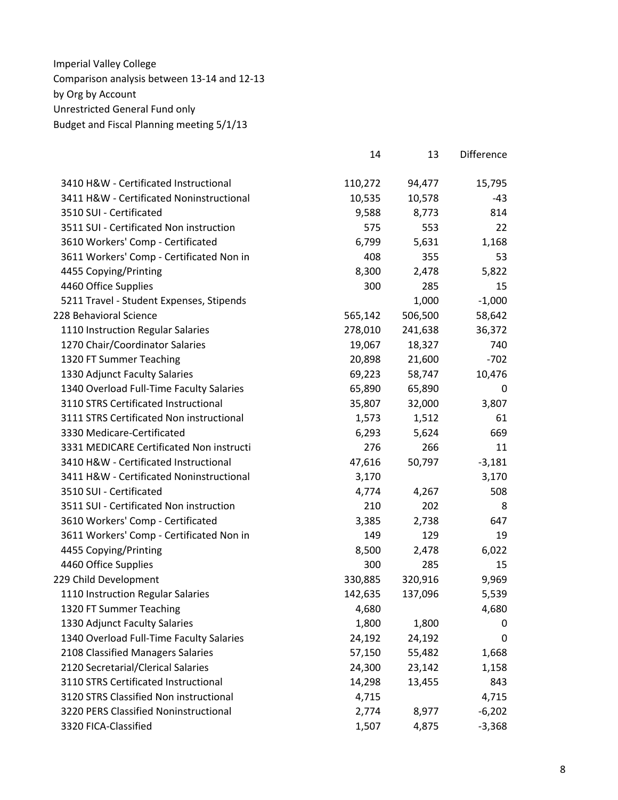|                                          | 14      | 13      | <b>Difference</b> |
|------------------------------------------|---------|---------|-------------------|
| 3410 H&W - Certificated Instructional    | 110,272 | 94,477  | 15,795            |
| 3411 H&W - Certificated Noninstructional | 10,535  | 10,578  | -43               |
| 3510 SUI - Certificated                  | 9,588   | 8,773   | 814               |
| 3511 SUI - Certificated Non instruction  | 575     | 553     | 22                |
| 3610 Workers' Comp - Certificated        | 6,799   | 5,631   | 1,168             |
| 3611 Workers' Comp - Certificated Non in | 408     | 355     | 53                |
| 4455 Copying/Printing                    | 8,300   | 2,478   | 5,822             |
| 4460 Office Supplies                     | 300     | 285     | 15                |
| 5211 Travel - Student Expenses, Stipends |         | 1,000   | $-1,000$          |
| 228 Behavioral Science                   | 565,142 | 506,500 | 58,642            |
| 1110 Instruction Regular Salaries        | 278,010 | 241,638 | 36,372            |
| 1270 Chair/Coordinator Salaries          | 19,067  | 18,327  | 740               |
| 1320 FT Summer Teaching                  | 20,898  | 21,600  | $-702$            |
| 1330 Adjunct Faculty Salaries            | 69,223  | 58,747  | 10,476            |
| 1340 Overload Full-Time Faculty Salaries | 65,890  | 65,890  | 0                 |
| 3110 STRS Certificated Instructional     | 35,807  | 32,000  | 3,807             |
| 3111 STRS Certificated Non instructional | 1,573   | 1,512   | 61                |
| 3330 Medicare-Certificated               | 6,293   | 5,624   | 669               |
| 3331 MEDICARE Certificated Non instructi | 276     | 266     | 11                |
| 3410 H&W - Certificated Instructional    | 47,616  | 50,797  | $-3,181$          |
| 3411 H&W - Certificated Noninstructional | 3,170   |         | 3,170             |
| 3510 SUI - Certificated                  | 4,774   | 4,267   | 508               |
| 3511 SUI - Certificated Non instruction  | 210     | 202     | 8                 |
| 3610 Workers' Comp - Certificated        | 3,385   | 2,738   | 647               |
| 3611 Workers' Comp - Certificated Non in | 149     | 129     | 19                |
| 4455 Copying/Printing                    | 8,500   | 2,478   | 6,022             |
| 4460 Office Supplies                     | 300     | 285     | 15                |
| 229 Child Development                    | 330,885 | 320,916 | 9,969             |
| 1110 Instruction Regular Salaries        | 142,635 | 137,096 | 5,539             |
| 1320 FT Summer Teaching                  | 4,680   |         | 4,680             |
| 1330 Adjunct Faculty Salaries            | 1,800   | 1,800   | 0                 |
| 1340 Overload Full-Time Faculty Salaries | 24,192  | 24,192  | 0                 |
| 2108 Classified Managers Salaries        | 57,150  | 55,482  | 1,668             |
| 2120 Secretarial/Clerical Salaries       | 24,300  | 23,142  | 1,158             |
| 3110 STRS Certificated Instructional     | 14,298  | 13,455  | 843               |
| 3120 STRS Classified Non instructional   | 4,715   |         | 4,715             |
| 3220 PERS Classified Noninstructional    | 2,774   | 8,977   | $-6,202$          |
| 3320 FICA-Classified                     | 1,507   | 4,875   | $-3,368$          |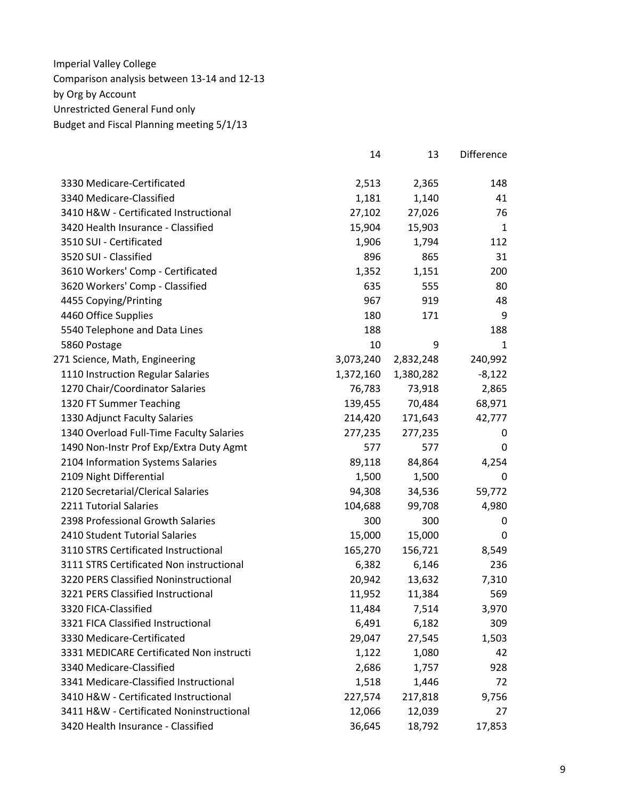|                                          | 14        | 13        | Difference   |
|------------------------------------------|-----------|-----------|--------------|
| 3330 Medicare-Certificated               | 2,513     | 2,365     | 148          |
| 3340 Medicare-Classified                 | 1,181     | 1,140     | 41           |
| 3410 H&W - Certificated Instructional    | 27,102    | 27,026    | 76           |
| 3420 Health Insurance - Classified       | 15,904    | 15,903    | $\mathbf{1}$ |
| 3510 SUI - Certificated                  | 1,906     | 1,794     | 112          |
| 3520 SUI - Classified                    | 896       | 865       | 31           |
| 3610 Workers' Comp - Certificated        | 1,352     | 1,151     | 200          |
| 3620 Workers' Comp - Classified          | 635       | 555       | 80           |
| 4455 Copying/Printing                    | 967       | 919       | 48           |
| 4460 Office Supplies                     | 180       | 171       | 9            |
| 5540 Telephone and Data Lines            | 188       |           | 188          |
| 5860 Postage                             | 10        | 9         | 1            |
| 271 Science, Math, Engineering           | 3,073,240 | 2,832,248 | 240,992      |
| 1110 Instruction Regular Salaries        | 1,372,160 | 1,380,282 | $-8,122$     |
| 1270 Chair/Coordinator Salaries          | 76,783    | 73,918    | 2,865        |
| 1320 FT Summer Teaching                  | 139,455   | 70,484    | 68,971       |
| 1330 Adjunct Faculty Salaries            | 214,420   | 171,643   | 42,777       |
| 1340 Overload Full-Time Faculty Salaries | 277,235   | 277,235   | 0            |
| 1490 Non-Instr Prof Exp/Extra Duty Agmt  | 577       | 577       | 0            |
| 2104 Information Systems Salaries        | 89,118    | 84,864    | 4,254        |
| 2109 Night Differential                  | 1,500     | 1,500     | $\mathbf 0$  |
| 2120 Secretarial/Clerical Salaries       | 94,308    | 34,536    | 59,772       |
| 2211 Tutorial Salaries                   | 104,688   | 99,708    | 4,980        |
| 2398 Professional Growth Salaries        | 300       | 300       | 0            |
| 2410 Student Tutorial Salaries           | 15,000    | 15,000    | 0            |
| 3110 STRS Certificated Instructional     | 165,270   | 156,721   | 8,549        |
| 3111 STRS Certificated Non instructional | 6,382     | 6,146     | 236          |
| 3220 PERS Classified Noninstructional    | 20,942    | 13,632    | 7,310        |
| 3221 PERS Classified Instructional       | 11,952    | 11,384    | 569          |
| 3320 FICA-Classified                     | 11,484    | 7,514     | 3,970        |
| 3321 FICA Classified Instructional       | 6,491     | 6,182     | 309          |
| 3330 Medicare-Certificated               | 29,047    | 27,545    | 1,503        |
| 3331 MEDICARE Certificated Non instructi | 1,122     | 1,080     | 42           |
| 3340 Medicare-Classified                 | 2,686     | 1,757     | 928          |
| 3341 Medicare-Classified Instructional   | 1,518     | 1,446     | 72           |
| 3410 H&W - Certificated Instructional    | 227,574   | 217,818   | 9,756        |
| 3411 H&W - Certificated Noninstructional | 12,066    | 12,039    | 27           |
| 3420 Health Insurance - Classified       | 36,645    | 18,792    | 17,853       |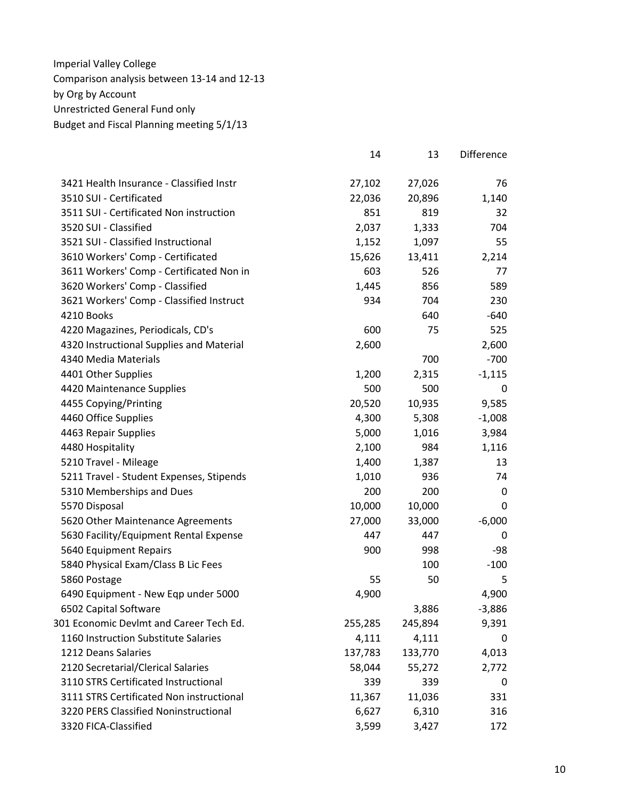|                                          | 14      | 13      | Difference |
|------------------------------------------|---------|---------|------------|
| 3421 Health Insurance - Classified Instr | 27,102  | 27,026  | 76         |
| 3510 SUI - Certificated                  | 22,036  | 20,896  | 1,140      |
| 3511 SUI - Certificated Non instruction  | 851     | 819     | 32         |
| 3520 SUI - Classified                    | 2,037   | 1,333   | 704        |
| 3521 SUI - Classified Instructional      | 1,152   | 1,097   | 55         |
| 3610 Workers' Comp - Certificated        | 15,626  | 13,411  | 2,214      |
| 3611 Workers' Comp - Certificated Non in | 603     | 526     | 77         |
| 3620 Workers' Comp - Classified          | 1,445   | 856     | 589        |
| 3621 Workers' Comp - Classified Instruct | 934     | 704     | 230        |
| 4210 Books                               |         | 640     | $-640$     |
| 4220 Magazines, Periodicals, CD's        | 600     | 75      | 525        |
| 4320 Instructional Supplies and Material | 2,600   |         | 2,600      |
| 4340 Media Materials                     |         | 700     | $-700$     |
| 4401 Other Supplies                      | 1,200   | 2,315   | $-1,115$   |
| 4420 Maintenance Supplies                | 500     | 500     | 0          |
| 4455 Copying/Printing                    | 20,520  | 10,935  | 9,585      |
| 4460 Office Supplies                     | 4,300   | 5,308   | $-1,008$   |
| 4463 Repair Supplies                     | 5,000   | 1,016   | 3,984      |
| 4480 Hospitality                         | 2,100   | 984     | 1,116      |
| 5210 Travel - Mileage                    | 1,400   | 1,387   | 13         |
| 5211 Travel - Student Expenses, Stipends | 1,010   | 936     | 74         |
| 5310 Memberships and Dues                | 200     | 200     | 0          |
| 5570 Disposal                            | 10,000  | 10,000  | 0          |
| 5620 Other Maintenance Agreements        | 27,000  | 33,000  | $-6,000$   |
| 5630 Facility/Equipment Rental Expense   | 447     | 447     | 0          |
| 5640 Equipment Repairs                   | 900     | 998     | -98        |
| 5840 Physical Exam/Class B Lic Fees      |         | 100     | $-100$     |
| 5860 Postage                             | 55      | 50      | 5          |
| 6490 Equipment - New Eqp under 5000      | 4,900   |         | 4,900      |
| 6502 Capital Software                    |         | 3,886   | $-3,886$   |
| 301 Economic Devlmt and Career Tech Ed.  | 255,285 | 245,894 | 9,391      |
| 1160 Instruction Substitute Salaries     | 4,111   | 4,111   | 0          |
| 1212 Deans Salaries                      | 137,783 | 133,770 | 4,013      |
| 2120 Secretarial/Clerical Salaries       | 58,044  | 55,272  | 2,772      |
| 3110 STRS Certificated Instructional     | 339     | 339     | 0          |
| 3111 STRS Certificated Non instructional | 11,367  | 11,036  | 331        |
| 3220 PERS Classified Noninstructional    | 6,627   | 6,310   | 316        |
| 3320 FICA-Classified                     | 3,599   | 3,427   | 172        |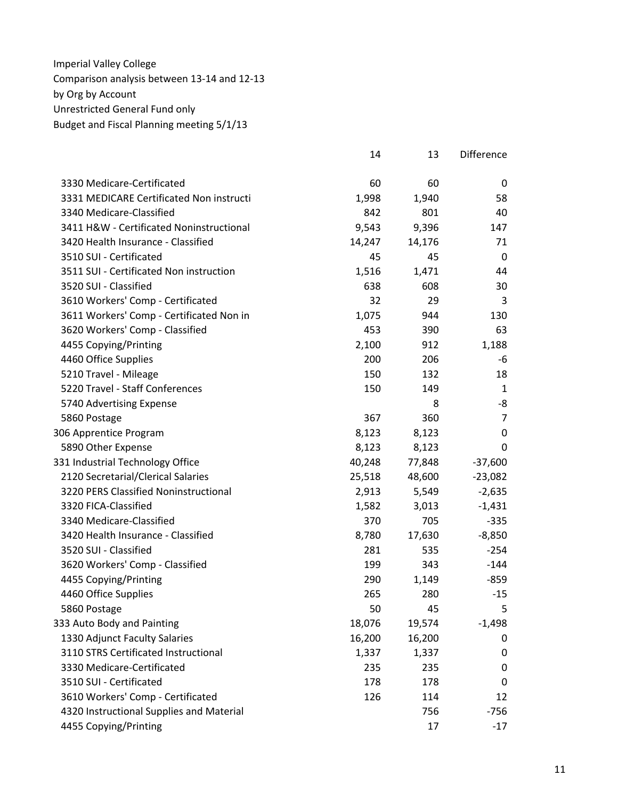|                                          | 14     | 13     | Difference |
|------------------------------------------|--------|--------|------------|
| 3330 Medicare-Certificated               | 60     | 60     | 0          |
| 3331 MEDICARE Certificated Non instructi | 1,998  | 1,940  | 58         |
| 3340 Medicare-Classified                 | 842    | 801    | 40         |
| 3411 H&W - Certificated Noninstructional | 9,543  | 9,396  | 147        |
| 3420 Health Insurance - Classified       | 14,247 | 14,176 | 71         |
| 3510 SUI - Certificated                  | 45     | 45     | 0          |
| 3511 SUI - Certificated Non instruction  | 1,516  | 1,471  | 44         |
| 3520 SUI - Classified                    | 638    | 608    | 30         |
| 3610 Workers' Comp - Certificated        | 32     | 29     | 3          |
| 3611 Workers' Comp - Certificated Non in | 1,075  | 944    | 130        |
| 3620 Workers' Comp - Classified          | 453    | 390    | 63         |
| 4455 Copying/Printing                    | 2,100  | 912    | 1,188      |
| 4460 Office Supplies                     | 200    | 206    | -6         |
| 5210 Travel - Mileage                    | 150    | 132    | 18         |
| 5220 Travel - Staff Conferences          | 150    | 149    | 1          |
| 5740 Advertising Expense                 |        | 8      | -8         |
| 5860 Postage                             | 367    | 360    | 7          |
| 306 Apprentice Program                   | 8,123  | 8,123  | 0          |
| 5890 Other Expense                       | 8,123  | 8,123  | 0          |
| 331 Industrial Technology Office         | 40,248 | 77,848 | $-37,600$  |
| 2120 Secretarial/Clerical Salaries       | 25,518 | 48,600 | $-23,082$  |
| 3220 PERS Classified Noninstructional    | 2,913  | 5,549  | $-2,635$   |
| 3320 FICA-Classified                     | 1,582  | 3,013  | $-1,431$   |
| 3340 Medicare-Classified                 | 370    | 705    | $-335$     |
| 3420 Health Insurance - Classified       | 8,780  | 17,630 | $-8,850$   |
| 3520 SUI - Classified                    | 281    | 535    | $-254$     |
| 3620 Workers' Comp - Classified          | 199    | 343    | $-144$     |
| 4455 Copying/Printing                    | 290    | 1,149  | $-859$     |
| 4460 Office Supplies                     | 265    | 280    | $-15$      |
| 5860 Postage                             | 50     | 45     | 5          |
| 333 Auto Body and Painting               | 18,076 | 19,574 | $-1,498$   |
| 1330 Adjunct Faculty Salaries            | 16,200 | 16,200 | 0          |
| 3110 STRS Certificated Instructional     | 1,337  | 1,337  | 0          |
| 3330 Medicare-Certificated               | 235    | 235    | 0          |
| 3510 SUI - Certificated                  | 178    | 178    | 0          |
| 3610 Workers' Comp - Certificated        | 126    | 114    | 12         |
| 4320 Instructional Supplies and Material |        | 756    | $-756$     |
| 4455 Copying/Printing                    |        | 17     | $-17$      |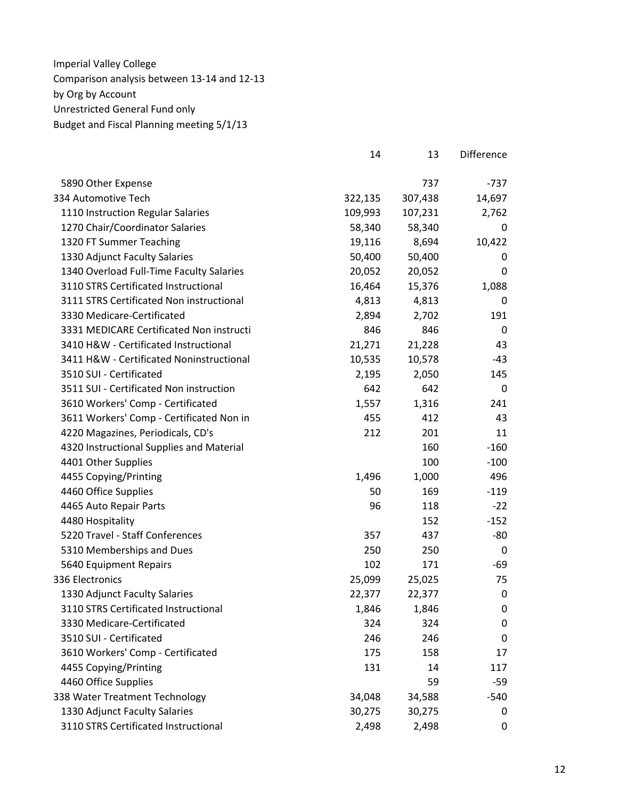|                                          | 14      | 13      | <b>Difference</b> |
|------------------------------------------|---------|---------|-------------------|
| 5890 Other Expense                       |         | 737     | $-737$            |
| 334 Automotive Tech                      | 322,135 | 307,438 | 14,697            |
| 1110 Instruction Regular Salaries        | 109,993 | 107,231 | 2,762             |
| 1270 Chair/Coordinator Salaries          | 58,340  | 58,340  | 0                 |
| 1320 FT Summer Teaching                  | 19,116  | 8,694   | 10,422            |
| 1330 Adjunct Faculty Salaries            | 50,400  | 50,400  | 0                 |
| 1340 Overload Full-Time Faculty Salaries | 20,052  | 20,052  | 0                 |
| 3110 STRS Certificated Instructional     | 16,464  | 15,376  | 1,088             |
| 3111 STRS Certificated Non instructional | 4,813   | 4,813   | 0                 |
| 3330 Medicare-Certificated               | 2,894   | 2,702   | 191               |
| 3331 MEDICARE Certificated Non instructi | 846     | 846     | 0                 |
| 3410 H&W - Certificated Instructional    | 21,271  | 21,228  | 43                |
| 3411 H&W - Certificated Noninstructional | 10,535  | 10,578  | -43               |
| 3510 SUI - Certificated                  | 2,195   | 2,050   | 145               |
| 3511 SUI - Certificated Non instruction  | 642     | 642     | 0                 |
| 3610 Workers' Comp - Certificated        | 1,557   | 1,316   | 241               |
| 3611 Workers' Comp - Certificated Non in | 455     | 412     | 43                |
| 4220 Magazines, Periodicals, CD's        | 212     | 201     | 11                |
| 4320 Instructional Supplies and Material |         | 160     | $-160$            |
| 4401 Other Supplies                      |         | 100     | $-100$            |
| 4455 Copying/Printing                    | 1,496   | 1,000   | 496               |
| 4460 Office Supplies                     | 50      | 169     | $-119$            |
| 4465 Auto Repair Parts                   | 96      | 118     | $-22$             |
| 4480 Hospitality                         |         | 152     | $-152$            |
| 5220 Travel - Staff Conferences          | 357     | 437     | -80               |
| 5310 Memberships and Dues                | 250     | 250     | 0                 |
| 5640 Equipment Repairs                   | 102     | 171     | -69               |
| 336 Electronics                          | 25,099  | 25,025  | 75                |
| 1330 Adjunct Faculty Salaries            | 22,377  | 22,377  | $\mathbf 0$       |
| 3110 STRS Certificated Instructional     | 1,846   | 1,846   | 0                 |
| 3330 Medicare-Certificated               | 324     | 324     | 0                 |
| 3510 SUI - Certificated                  | 246     | 246     | $\mathbf 0$       |
| 3610 Workers' Comp - Certificated        | 175     | 158     | 17                |
| 4455 Copying/Printing                    | 131     | 14      | 117               |
| 4460 Office Supplies                     |         | 59      | $-59$             |
| 338 Water Treatment Technology           | 34,048  | 34,588  | $-540$            |
| 1330 Adjunct Faculty Salaries            | 30,275  | 30,275  | 0                 |
| 3110 STRS Certificated Instructional     | 2,498   | 2,498   | 0                 |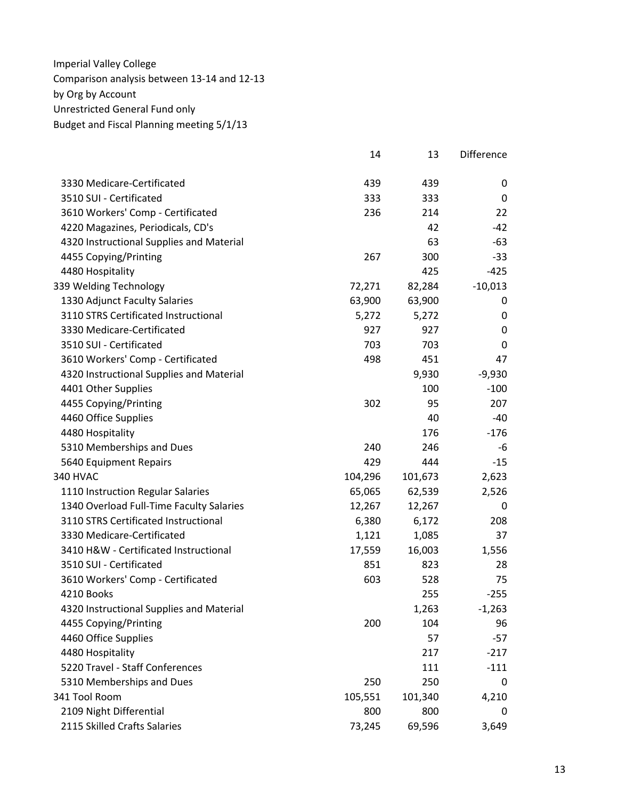|                                          | 14      | 13      | Difference |
|------------------------------------------|---------|---------|------------|
| 3330 Medicare-Certificated               | 439     | 439     | 0          |
| 3510 SUI - Certificated                  | 333     | 333     | 0          |
| 3610 Workers' Comp - Certificated        | 236     | 214     | 22         |
| 4220 Magazines, Periodicals, CD's        |         | 42      | $-42$      |
| 4320 Instructional Supplies and Material |         | 63      | $-63$      |
| 4455 Copying/Printing                    | 267     | 300     | $-33$      |
| 4480 Hospitality                         |         | 425     | $-425$     |
| 339 Welding Technology                   | 72,271  | 82,284  | $-10,013$  |
| 1330 Adjunct Faculty Salaries            | 63,900  | 63,900  | 0          |
| 3110 STRS Certificated Instructional     | 5,272   | 5,272   | 0          |
| 3330 Medicare-Certificated               | 927     | 927     | 0          |
| 3510 SUI - Certificated                  | 703     | 703     | 0          |
| 3610 Workers' Comp - Certificated        | 498     | 451     | 47         |
| 4320 Instructional Supplies and Material |         | 9,930   | $-9,930$   |
| 4401 Other Supplies                      |         | 100     | $-100$     |
| 4455 Copying/Printing                    | 302     | 95      | 207        |
| 4460 Office Supplies                     |         | 40      | $-40$      |
| 4480 Hospitality                         |         | 176     | $-176$     |
| 5310 Memberships and Dues                | 240     | 246     | -6         |
| 5640 Equipment Repairs                   | 429     | 444     | $-15$      |
| 340 HVAC                                 | 104,296 | 101,673 | 2,623      |
| 1110 Instruction Regular Salaries        | 65,065  | 62,539  | 2,526      |
| 1340 Overload Full-Time Faculty Salaries | 12,267  | 12,267  | 0          |
| 3110 STRS Certificated Instructional     | 6,380   | 6,172   | 208        |
| 3330 Medicare-Certificated               | 1,121   | 1,085   | 37         |
| 3410 H&W - Certificated Instructional    | 17,559  | 16,003  | 1,556      |
| 3510 SUI - Certificated                  | 851     | 823     | 28         |
| 3610 Workers' Comp - Certificated        | 603     | 528     | 75         |
| 4210 Books                               |         | 255     | $-255$     |
| 4320 Instructional Supplies and Material |         | 1,263   | $-1,263$   |
| 4455 Copying/Printing                    | 200     | 104     | 96         |
| 4460 Office Supplies                     |         | 57      | $-57$      |
| 4480 Hospitality                         |         | 217     | $-217$     |
| 5220 Travel - Staff Conferences          |         | 111     | $-111$     |
| 5310 Memberships and Dues                | 250     | 250     | 0          |
| 341 Tool Room                            | 105,551 | 101,340 | 4,210      |
| 2109 Night Differential                  | 800     | 800     | 0          |
| 2115 Skilled Crafts Salaries             | 73,245  | 69,596  | 3,649      |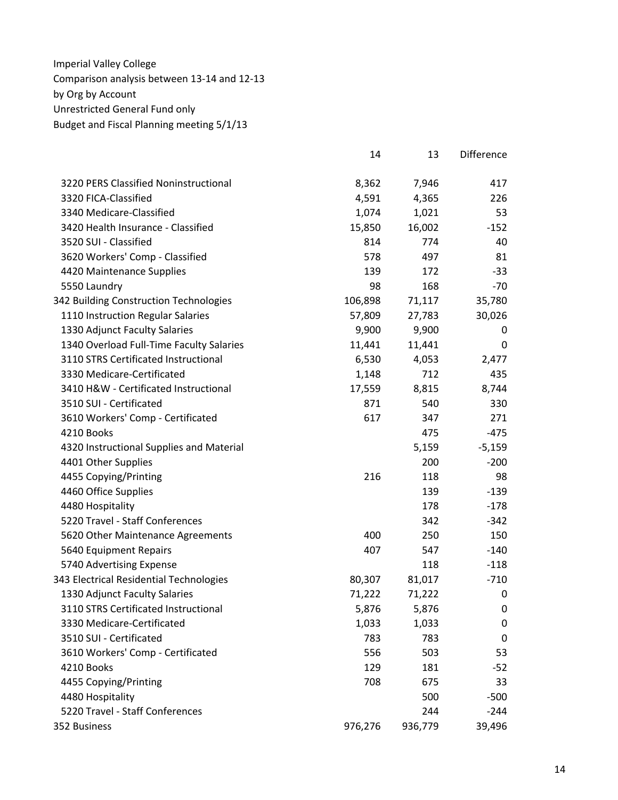|                                          | 14      | 13      | <b>Difference</b> |
|------------------------------------------|---------|---------|-------------------|
| 3220 PERS Classified Noninstructional    | 8,362   | 7,946   | 417               |
| 3320 FICA-Classified                     | 4,591   | 4,365   | 226               |
| 3340 Medicare-Classified                 | 1,074   | 1,021   | 53                |
| 3420 Health Insurance - Classified       | 15,850  | 16,002  | $-152$            |
| 3520 SUI - Classified                    | 814     | 774     | 40                |
| 3620 Workers' Comp - Classified          | 578     | 497     | 81                |
| 4420 Maintenance Supplies                | 139     | 172     | $-33$             |
| 5550 Laundry                             | 98      | 168     | $-70$             |
| 342 Building Construction Technologies   | 106,898 | 71,117  | 35,780            |
| 1110 Instruction Regular Salaries        | 57,809  | 27,783  | 30,026            |
| 1330 Adjunct Faculty Salaries            | 9,900   | 9,900   | 0                 |
| 1340 Overload Full-Time Faculty Salaries | 11,441  | 11,441  | 0                 |
| 3110 STRS Certificated Instructional     | 6,530   | 4,053   | 2,477             |
| 3330 Medicare-Certificated               | 1,148   | 712     | 435               |
| 3410 H&W - Certificated Instructional    | 17,559  | 8,815   | 8,744             |
| 3510 SUI - Certificated                  | 871     | 540     | 330               |
| 3610 Workers' Comp - Certificated        | 617     | 347     | 271               |
| 4210 Books                               |         | 475     | $-475$            |
| 4320 Instructional Supplies and Material |         | 5,159   | $-5,159$          |
| 4401 Other Supplies                      |         | 200     | $-200$            |
| 4455 Copying/Printing                    | 216     | 118     | 98                |
| 4460 Office Supplies                     |         | 139     | $-139$            |
| 4480 Hospitality                         |         | 178     | $-178$            |
| 5220 Travel - Staff Conferences          |         | 342     | $-342$            |
| 5620 Other Maintenance Agreements        | 400     | 250     | 150               |
| 5640 Equipment Repairs                   | 407     | 547     | $-140$            |
| 5740 Advertising Expense                 |         | 118     | $-118$            |
| 343 Electrical Residential Technologies  | 80,307  | 81,017  | $-710$            |
| 1330 Adjunct Faculty Salaries            | 71,222  | 71,222  | 0                 |
| 3110 STRS Certificated Instructional     | 5,876   | 5,876   | 0                 |
| 3330 Medicare-Certificated               | 1,033   | 1,033   | 0                 |
| 3510 SUI - Certificated                  | 783     | 783     | 0                 |
| 3610 Workers' Comp - Certificated        | 556     | 503     | 53                |
| 4210 Books                               | 129     | 181     | $-52$             |
| 4455 Copying/Printing                    | 708     | 675     | 33                |
| 4480 Hospitality                         |         | 500     | $-500$            |
| 5220 Travel - Staff Conferences          |         | 244     | $-244$            |
| 352 Business                             | 976,276 | 936,779 | 39,496            |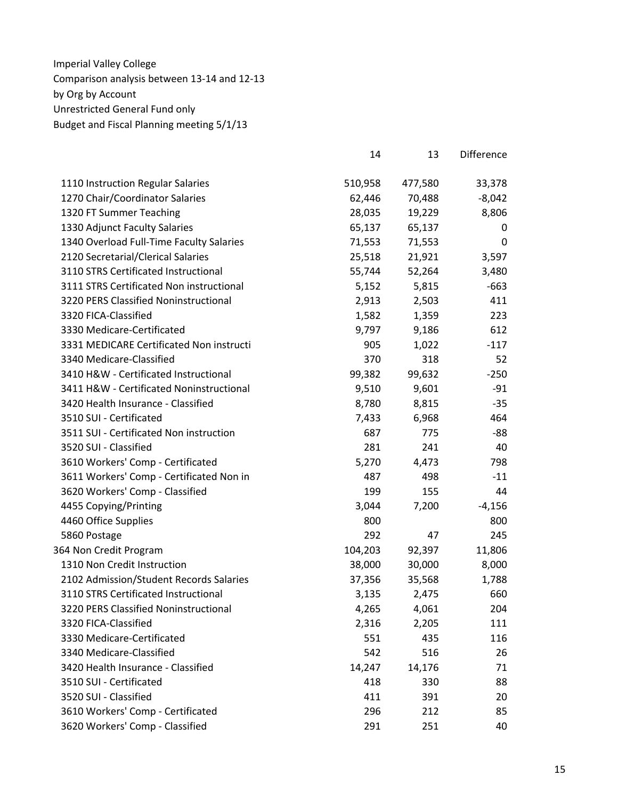|                                          | 14      | 13      | Difference |
|------------------------------------------|---------|---------|------------|
| 1110 Instruction Regular Salaries        | 510,958 | 477,580 | 33,378     |
| 1270 Chair/Coordinator Salaries          | 62,446  | 70,488  | $-8,042$   |
| 1320 FT Summer Teaching                  | 28,035  | 19,229  | 8,806      |
| 1330 Adjunct Faculty Salaries            | 65,137  | 65,137  | 0          |
| 1340 Overload Full-Time Faculty Salaries | 71,553  | 71,553  | 0          |
| 2120 Secretarial/Clerical Salaries       | 25,518  | 21,921  | 3,597      |
| 3110 STRS Certificated Instructional     | 55,744  | 52,264  | 3,480      |
| 3111 STRS Certificated Non instructional | 5,152   | 5,815   | $-663$     |
| 3220 PERS Classified Noninstructional    | 2,913   | 2,503   | 411        |
| 3320 FICA-Classified                     | 1,582   | 1,359   | 223        |
| 3330 Medicare-Certificated               | 9,797   | 9,186   | 612        |
| 3331 MEDICARE Certificated Non instructi | 905     | 1,022   | $-117$     |
| 3340 Medicare-Classified                 | 370     | 318     | 52         |
| 3410 H&W - Certificated Instructional    | 99,382  | 99,632  | $-250$     |
| 3411 H&W - Certificated Noninstructional | 9,510   | 9,601   | $-91$      |
| 3420 Health Insurance - Classified       | 8,780   | 8,815   | $-35$      |
| 3510 SUI - Certificated                  | 7,433   | 6,968   | 464        |
| 3511 SUI - Certificated Non instruction  | 687     | 775     | -88        |
| 3520 SUI - Classified                    | 281     | 241     | 40         |
| 3610 Workers' Comp - Certificated        | 5,270   | 4,473   | 798        |
| 3611 Workers' Comp - Certificated Non in | 487     | 498     | $-11$      |
| 3620 Workers' Comp - Classified          | 199     | 155     | 44         |
| 4455 Copying/Printing                    | 3,044   | 7,200   | $-4,156$   |
| 4460 Office Supplies                     | 800     |         | 800        |
| 5860 Postage                             | 292     | 47      | 245        |
| 364 Non Credit Program                   | 104,203 | 92,397  | 11,806     |
| 1310 Non Credit Instruction              | 38,000  | 30,000  | 8,000      |
| 2102 Admission/Student Records Salaries  | 37,356  | 35,568  | 1,788      |
| 3110 STRS Certificated Instructional     | 3,135   | 2,475   | 660        |
| 3220 PERS Classified Noninstructional    | 4,265   | 4,061   | 204        |
| 3320 FICA-Classified                     | 2,316   | 2,205   | 111        |
| 3330 Medicare-Certificated               | 551     | 435     | 116        |
| 3340 Medicare-Classified                 | 542     | 516     | 26         |
| 3420 Health Insurance - Classified       | 14,247  | 14,176  | 71         |
| 3510 SUI - Certificated                  | 418     | 330     | 88         |
| 3520 SUI - Classified                    | 411     | 391     | 20         |
| 3610 Workers' Comp - Certificated        | 296     | 212     | 85         |
| 3620 Workers' Comp - Classified          | 291     | 251     | 40         |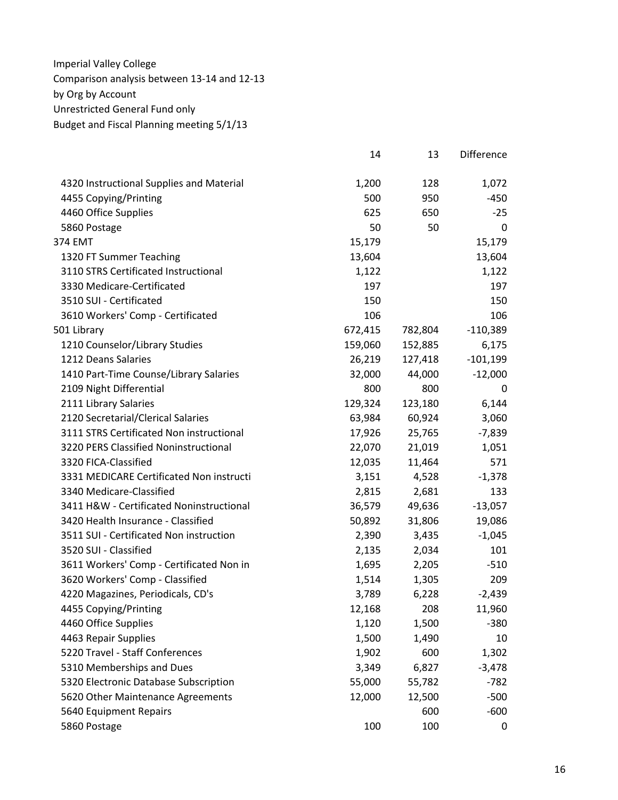|                                          | 14      | 13      | Difference |
|------------------------------------------|---------|---------|------------|
| 4320 Instructional Supplies and Material | 1,200   | 128     | 1,072      |
| 4455 Copying/Printing                    | 500     | 950     | -450       |
| 4460 Office Supplies                     | 625     | 650     | $-25$      |
| 5860 Postage                             | 50      | 50      | 0          |
| 374 EMT                                  | 15,179  |         | 15,179     |
| 1320 FT Summer Teaching                  | 13,604  |         | 13,604     |
| 3110 STRS Certificated Instructional     | 1,122   |         | 1,122      |
| 3330 Medicare-Certificated               | 197     |         | 197        |
| 3510 SUI - Certificated                  | 150     |         | 150        |
| 3610 Workers' Comp - Certificated        | 106     |         | 106        |
| 501 Library                              | 672,415 | 782,804 | $-110,389$ |
| 1210 Counselor/Library Studies           | 159,060 | 152,885 | 6,175      |
| 1212 Deans Salaries                      | 26,219  | 127,418 | $-101,199$ |
| 1410 Part-Time Counse/Library Salaries   | 32,000  | 44,000  | $-12,000$  |
| 2109 Night Differential                  | 800     | 800     | 0          |
| 2111 Library Salaries                    | 129,324 | 123,180 | 6,144      |
| 2120 Secretarial/Clerical Salaries       | 63,984  | 60,924  | 3,060      |
| 3111 STRS Certificated Non instructional | 17,926  | 25,765  | $-7,839$   |
| 3220 PERS Classified Noninstructional    | 22,070  | 21,019  | 1,051      |
| 3320 FICA-Classified                     | 12,035  | 11,464  | 571        |
| 3331 MEDICARE Certificated Non instructi | 3,151   | 4,528   | $-1,378$   |
| 3340 Medicare-Classified                 | 2,815   | 2,681   | 133        |
| 3411 H&W - Certificated Noninstructional | 36,579  | 49,636  | $-13,057$  |
| 3420 Health Insurance - Classified       | 50,892  | 31,806  | 19,086     |
| 3511 SUI - Certificated Non instruction  | 2,390   | 3,435   | $-1,045$   |
| 3520 SUI - Classified                    | 2,135   | 2,034   | 101        |
| 3611 Workers' Comp - Certificated Non in | 1,695   | 2,205   | $-510$     |
| 3620 Workers' Comp - Classified          | 1,514   | 1,305   | 209        |
| 4220 Magazines, Periodicals, CD's        | 3,789   | 6,228   | $-2,439$   |
| 4455 Copying/Printing                    | 12,168  | 208     | 11,960     |
| 4460 Office Supplies                     | 1,120   | 1,500   | $-380$     |
| 4463 Repair Supplies                     | 1,500   | 1,490   | 10         |
| 5220 Travel - Staff Conferences          | 1,902   | 600     | 1,302      |
| 5310 Memberships and Dues                | 3,349   | 6,827   | $-3,478$   |
| 5320 Electronic Database Subscription    | 55,000  | 55,782  | $-782$     |
| 5620 Other Maintenance Agreements        | 12,000  | 12,500  | $-500$     |
| 5640 Equipment Repairs                   |         | 600     | $-600$     |
| 5860 Postage                             | 100     | 100     | 0          |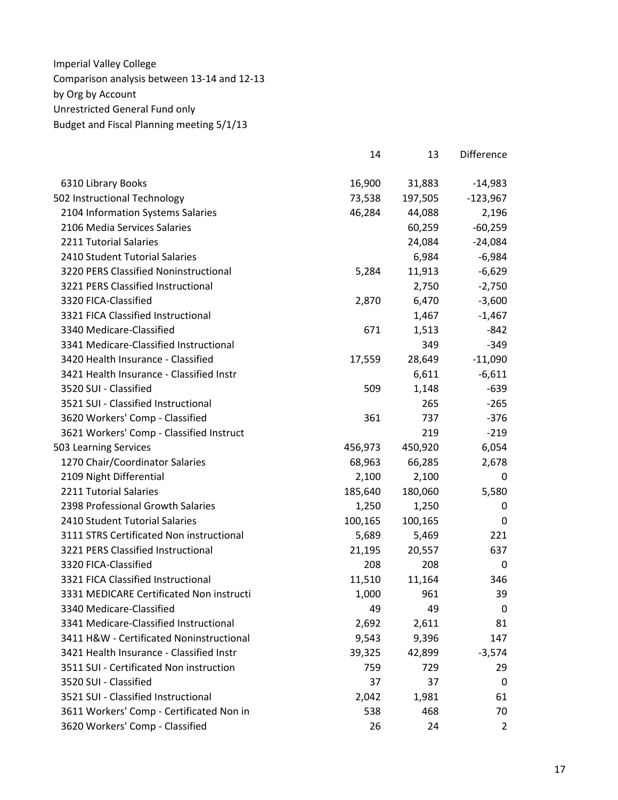|                                          | 14      | 13      | Difference     |
|------------------------------------------|---------|---------|----------------|
| 6310 Library Books                       | 16,900  | 31,883  | $-14,983$      |
| 502 Instructional Technology             | 73,538  | 197,505 | $-123,967$     |
| 2104 Information Systems Salaries        | 46,284  | 44,088  | 2,196          |
| 2106 Media Services Salaries             |         | 60,259  | $-60,259$      |
| 2211 Tutorial Salaries                   |         | 24,084  | $-24,084$      |
| 2410 Student Tutorial Salaries           |         | 6,984   | $-6,984$       |
| 3220 PERS Classified Noninstructional    | 5,284   | 11,913  | $-6,629$       |
| 3221 PERS Classified Instructional       |         | 2,750   | $-2,750$       |
| 3320 FICA-Classified                     | 2,870   | 6,470   | $-3,600$       |
| 3321 FICA Classified Instructional       |         | 1,467   | $-1,467$       |
| 3340 Medicare-Classified                 | 671     | 1,513   | $-842$         |
| 3341 Medicare-Classified Instructional   |         | 349     | $-349$         |
| 3420 Health Insurance - Classified       | 17,559  | 28,649  | $-11,090$      |
| 3421 Health Insurance - Classified Instr |         | 6,611   | $-6,611$       |
| 3520 SUI - Classified                    | 509     | 1,148   | $-639$         |
| 3521 SUI - Classified Instructional      |         | 265     | $-265$         |
| 3620 Workers' Comp - Classified          | 361     | 737     | $-376$         |
| 3621 Workers' Comp - Classified Instruct |         | 219     | $-219$         |
| 503 Learning Services                    | 456,973 | 450,920 | 6,054          |
| 1270 Chair/Coordinator Salaries          | 68,963  | 66,285  | 2,678          |
| 2109 Night Differential                  | 2,100   | 2,100   | 0              |
| 2211 Tutorial Salaries                   | 185,640 | 180,060 | 5,580          |
| 2398 Professional Growth Salaries        | 1,250   | 1,250   | 0              |
| 2410 Student Tutorial Salaries           | 100,165 | 100,165 | $\Omega$       |
| 3111 STRS Certificated Non instructional | 5,689   | 5,469   | 221            |
| 3221 PERS Classified Instructional       | 21,195  | 20,557  | 637            |
| 3320 FICA-Classified                     | 208     | 208     | 0              |
| 3321 FICA Classified Instructional       | 11,510  | 11,164  | 346            |
| 3331 MEDICARE Certificated Non instructi | 1,000   | 961     | 39             |
| 3340 Medicare-Classified                 | 49      | 49      | 0              |
| 3341 Medicare-Classified Instructional   | 2,692   | 2,611   | 81             |
| 3411 H&W - Certificated Noninstructional | 9,543   | 9,396   | 147            |
| 3421 Health Insurance - Classified Instr | 39,325  | 42,899  | $-3,574$       |
| 3511 SUI - Certificated Non instruction  | 759     | 729     | 29             |
| 3520 SUI - Classified                    | 37      | 37      | 0              |
| 3521 SUI - Classified Instructional      | 2,042   | 1,981   | 61             |
| 3611 Workers' Comp - Certificated Non in | 538     | 468     | 70             |
| 3620 Workers' Comp - Classified          | 26      | 24      | $\overline{2}$ |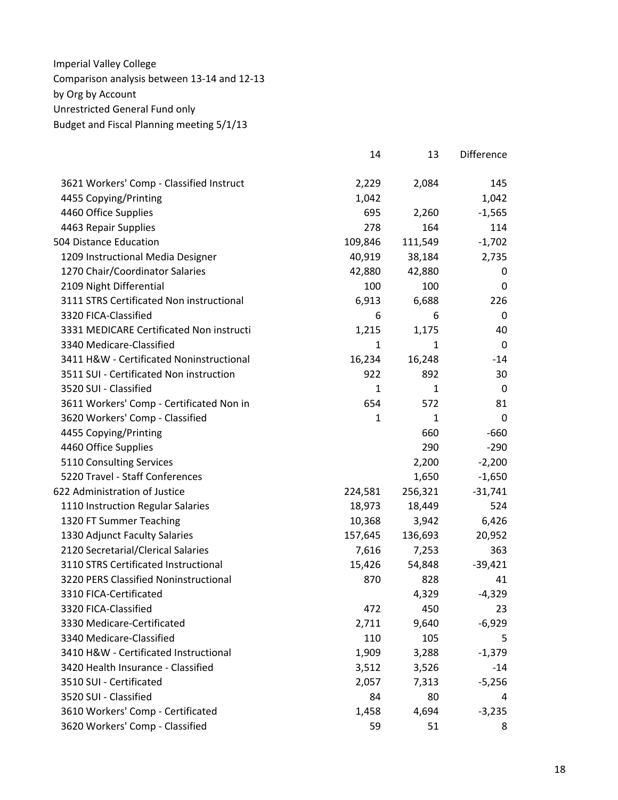|                                          | 14           | 13           | Difference  |
|------------------------------------------|--------------|--------------|-------------|
| 3621 Workers' Comp - Classified Instruct | 2,229        | 2,084        | 145         |
| 4455 Copying/Printing                    | 1,042        |              | 1,042       |
| 4460 Office Supplies                     | 695          | 2,260        | $-1,565$    |
| 4463 Repair Supplies                     | 278          | 164          | 114         |
| 504 Distance Education                   | 109,846      | 111,549      | $-1,702$    |
| 1209 Instructional Media Designer        | 40,919       | 38,184       | 2,735       |
| 1270 Chair/Coordinator Salaries          | 42,880       | 42,880       | 0           |
| 2109 Night Differential                  | 100          | 100          | 0           |
| 3111 STRS Certificated Non instructional | 6,913        | 6,688        | 226         |
| 3320 FICA-Classified                     | 6            | 6            | 0           |
| 3331 MEDICARE Certificated Non instructi | 1,215        | 1,175        | 40          |
| 3340 Medicare-Classified                 | $\mathbf{1}$ | $\mathbf{1}$ | $\mathbf 0$ |
| 3411 H&W - Certificated Noninstructional | 16,234       | 16,248       | $-14$       |
| 3511 SUI - Certificated Non instruction  | 922          | 892          | 30          |
| 3520 SUI - Classified                    | 1            | 1            | 0           |
| 3611 Workers' Comp - Certificated Non in | 654          | 572          | 81          |
| 3620 Workers' Comp - Classified          | $\mathbf{1}$ | $\mathbf{1}$ | 0           |
| 4455 Copying/Printing                    |              | 660          | $-660$      |
| 4460 Office Supplies                     |              | 290          | $-290$      |
| 5110 Consulting Services                 |              | 2,200        | $-2,200$    |
| 5220 Travel - Staff Conferences          |              | 1,650        | $-1,650$    |
| 622 Administration of Justice            | 224,581      | 256,321      | $-31,741$   |
| 1110 Instruction Regular Salaries        | 18,973       | 18,449       | 524         |
| 1320 FT Summer Teaching                  | 10,368       | 3,942        | 6,426       |
| 1330 Adjunct Faculty Salaries            | 157,645      | 136,693      | 20,952      |
| 2120 Secretarial/Clerical Salaries       | 7,616        | 7,253        | 363         |
| 3110 STRS Certificated Instructional     | 15,426       | 54,848       | $-39,421$   |
| 3220 PERS Classified Noninstructional    | 870          | 828          | 41          |
| 3310 FICA-Certificated                   |              | 4,329        | $-4,329$    |
| 3320 FICA-Classified                     | 472          | 450          | 23          |
| 3330 Medicare-Certificated               | 2,711        | 9,640        | $-6,929$    |
| 3340 Medicare-Classified                 | 110          | 105          | 5           |
| 3410 H&W - Certificated Instructional    | 1,909        | 3,288        | $-1,379$    |
| 3420 Health Insurance - Classified       | 3,512        | 3,526        | $-14$       |
| 3510 SUI - Certificated                  | 2,057        | 7,313        | $-5,256$    |
| 3520 SUI - Classified                    | 84           | 80           | 4           |
| 3610 Workers' Comp - Certificated        | 1,458        | 4,694        | $-3,235$    |
| 3620 Workers' Comp - Classified          | 59           | 51           | 8           |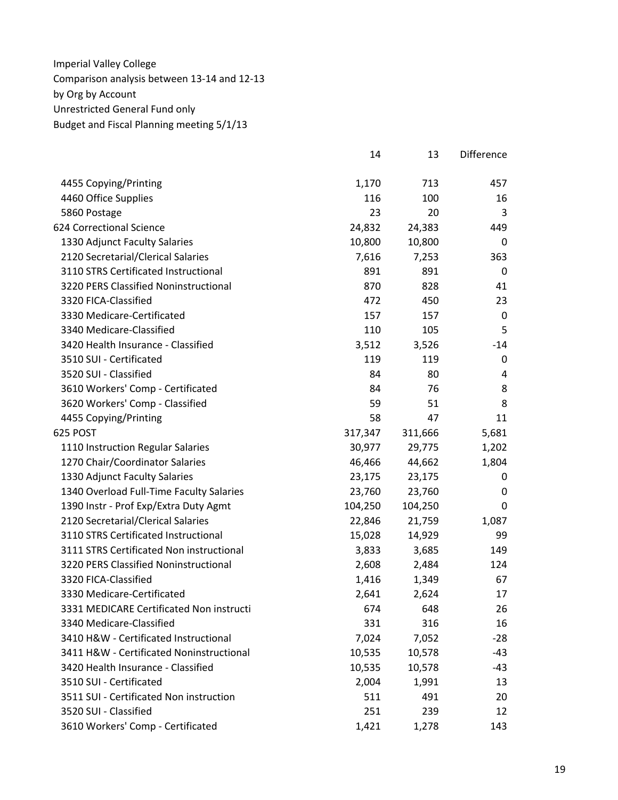|                                          | 14      | 13      | Difference |
|------------------------------------------|---------|---------|------------|
| 4455 Copying/Printing                    | 1,170   | 713     | 457        |
| 4460 Office Supplies                     | 116     | 100     | 16         |
| 5860 Postage                             | 23      | 20      | 3          |
| 624 Correctional Science                 | 24,832  | 24,383  | 449        |
| 1330 Adjunct Faculty Salaries            | 10,800  | 10,800  | 0          |
| 2120 Secretarial/Clerical Salaries       | 7,616   | 7,253   | 363        |
| 3110 STRS Certificated Instructional     | 891     | 891     | 0          |
| 3220 PERS Classified Noninstructional    | 870     | 828     | 41         |
| 3320 FICA-Classified                     | 472     | 450     | 23         |
| 3330 Medicare-Certificated               | 157     | 157     | 0          |
| 3340 Medicare-Classified                 | 110     | 105     | 5          |
| 3420 Health Insurance - Classified       | 3,512   | 3,526   | $-14$      |
| 3510 SUI - Certificated                  | 119     | 119     | 0          |
| 3520 SUI - Classified                    | 84      | 80      | 4          |
| 3610 Workers' Comp - Certificated        | 84      | 76      | 8          |
| 3620 Workers' Comp - Classified          | 59      | 51      | 8          |
| 4455 Copying/Printing                    | 58      | 47      | 11         |
| 625 POST                                 | 317,347 | 311,666 | 5,681      |
| 1110 Instruction Regular Salaries        | 30,977  | 29,775  | 1,202      |
| 1270 Chair/Coordinator Salaries          | 46,466  | 44,662  | 1,804      |
| 1330 Adjunct Faculty Salaries            | 23,175  | 23,175  | 0          |
| 1340 Overload Full-Time Faculty Salaries | 23,760  | 23,760  | 0          |
| 1390 Instr - Prof Exp/Extra Duty Agmt    | 104,250 | 104,250 | 0          |
| 2120 Secretarial/Clerical Salaries       | 22,846  | 21,759  | 1,087      |
| 3110 STRS Certificated Instructional     | 15,028  | 14,929  | 99         |
| 3111 STRS Certificated Non instructional | 3,833   | 3,685   | 149        |
| 3220 PERS Classified Noninstructional    | 2,608   | 2,484   | 124        |
| 3320 FICA-Classified                     | 1,416   | 1,349   | 67         |
| 3330 Medicare-Certificated               | 2,641   | 2,624   | 17         |
| 3331 MEDICARE Certificated Non instructi | 674     | 648     | 26         |
| 3340 Medicare-Classified                 | 331     | 316     | 16         |
| 3410 H&W - Certificated Instructional    | 7,024   | 7,052   | $-28$      |
| 3411 H&W - Certificated Noninstructional | 10,535  | 10,578  | -43        |
| 3420 Health Insurance - Classified       | 10,535  | 10,578  | -43        |
| 3510 SUI - Certificated                  | 2,004   | 1,991   | 13         |
| 3511 SUI - Certificated Non instruction  | 511     | 491     | 20         |
| 3520 SUI - Classified                    | 251     | 239     | 12         |
| 3610 Workers' Comp - Certificated        | 1,421   | 1,278   | 143        |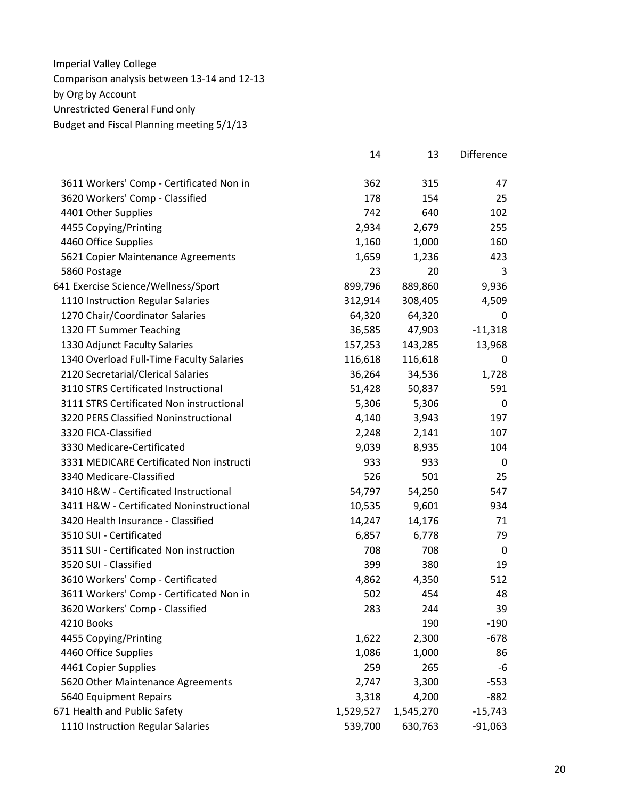|                                          | 14        | 13        | Difference  |
|------------------------------------------|-----------|-----------|-------------|
| 3611 Workers' Comp - Certificated Non in | 362       | 315       | 47          |
| 3620 Workers' Comp - Classified          | 178       | 154       | 25          |
| 4401 Other Supplies                      | 742       | 640       | 102         |
| 4455 Copying/Printing                    | 2,934     | 2,679     | 255         |
| 4460 Office Supplies                     | 1,160     | 1,000     | 160         |
| 5621 Copier Maintenance Agreements       | 1,659     | 1,236     | 423         |
| 5860 Postage                             | 23        | 20        | 3           |
| 641 Exercise Science/Wellness/Sport      | 899,796   | 889,860   | 9,936       |
| 1110 Instruction Regular Salaries        | 312,914   | 308,405   | 4,509       |
| 1270 Chair/Coordinator Salaries          | 64,320    | 64,320    | 0           |
| 1320 FT Summer Teaching                  | 36,585    | 47,903    | $-11,318$   |
| 1330 Adjunct Faculty Salaries            | 157,253   | 143,285   | 13,968      |
| 1340 Overload Full-Time Faculty Salaries | 116,618   | 116,618   | 0           |
| 2120 Secretarial/Clerical Salaries       | 36,264    | 34,536    | 1,728       |
| 3110 STRS Certificated Instructional     | 51,428    | 50,837    | 591         |
| 3111 STRS Certificated Non instructional | 5,306     | 5,306     | 0           |
| 3220 PERS Classified Noninstructional    | 4,140     | 3,943     | 197         |
| 3320 FICA-Classified                     | 2,248     | 2,141     | 107         |
| 3330 Medicare-Certificated               | 9,039     | 8,935     | 104         |
| 3331 MEDICARE Certificated Non instructi | 933       | 933       | 0           |
| 3340 Medicare-Classified                 | 526       | 501       | 25          |
| 3410 H&W - Certificated Instructional    | 54,797    | 54,250    | 547         |
| 3411 H&W - Certificated Noninstructional | 10,535    | 9,601     | 934         |
| 3420 Health Insurance - Classified       | 14,247    | 14,176    | 71          |
| 3510 SUI - Certificated                  | 6,857     | 6,778     | 79          |
| 3511 SUI - Certificated Non instruction  | 708       | 708       | $\mathbf 0$ |
| 3520 SUI - Classified                    | 399       | 380       | 19          |
| 3610 Workers' Comp - Certificated        | 4,862     | 4,350     | 512         |
| 3611 Workers' Comp - Certificated Non in | 502       | 454       | 48          |
| 3620 Workers' Comp - Classified          | 283       | 244       | 39          |
| 4210 Books                               |           | 190       | $-190$      |
| 4455 Copying/Printing                    | 1,622     | 2,300     | $-678$      |
| 4460 Office Supplies                     | 1,086     | 1,000     | 86          |
| 4461 Copier Supplies                     | 259       | 265       | -6          |
| 5620 Other Maintenance Agreements        | 2,747     | 3,300     | $-553$      |
| 5640 Equipment Repairs                   | 3,318     | 4,200     | $-882$      |
| 671 Health and Public Safety             | 1,529,527 | 1,545,270 | $-15,743$   |
| 1110 Instruction Regular Salaries        | 539,700   | 630,763   | $-91,063$   |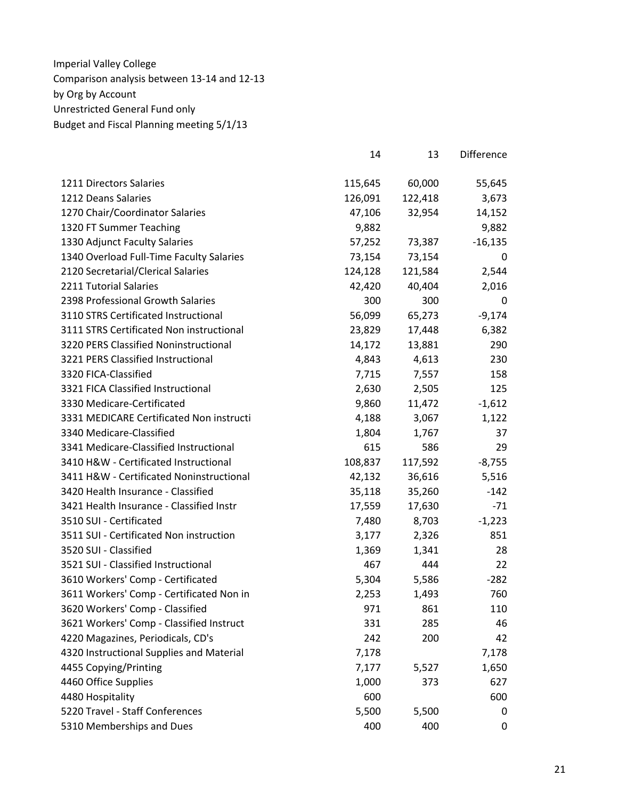|                                          | 14      | 13      | <b>Difference</b> |
|------------------------------------------|---------|---------|-------------------|
| 1211 Directors Salaries                  | 115,645 | 60,000  | 55,645            |
| 1212 Deans Salaries                      | 126,091 | 122,418 | 3,673             |
| 1270 Chair/Coordinator Salaries          | 47,106  | 32,954  | 14,152            |
| 1320 FT Summer Teaching                  | 9,882   |         | 9,882             |
| 1330 Adjunct Faculty Salaries            | 57,252  | 73,387  | $-16,135$         |
| 1340 Overload Full-Time Faculty Salaries | 73,154  | 73,154  | 0                 |
| 2120 Secretarial/Clerical Salaries       | 124,128 | 121,584 | 2,544             |
| 2211 Tutorial Salaries                   | 42,420  | 40,404  | 2,016             |
| 2398 Professional Growth Salaries        | 300     | 300     | 0                 |
| 3110 STRS Certificated Instructional     | 56,099  | 65,273  | $-9,174$          |
| 3111 STRS Certificated Non instructional | 23,829  | 17,448  | 6,382             |
| 3220 PERS Classified Noninstructional    | 14,172  | 13,881  | 290               |
| 3221 PERS Classified Instructional       | 4,843   | 4,613   | 230               |
| 3320 FICA-Classified                     | 7,715   | 7,557   | 158               |
| 3321 FICA Classified Instructional       | 2,630   | 2,505   | 125               |
| 3330 Medicare-Certificated               | 9,860   | 11,472  | $-1,612$          |
| 3331 MEDICARE Certificated Non instructi | 4,188   | 3,067   | 1,122             |
| 3340 Medicare-Classified                 | 1,804   | 1,767   | 37                |
| 3341 Medicare-Classified Instructional   | 615     | 586     | 29                |
| 3410 H&W - Certificated Instructional    | 108,837 | 117,592 | $-8,755$          |
| 3411 H&W - Certificated Noninstructional | 42,132  | 36,616  | 5,516             |
| 3420 Health Insurance - Classified       | 35,118  | 35,260  | $-142$            |
| 3421 Health Insurance - Classified Instr | 17,559  | 17,630  | $-71$             |
| 3510 SUI - Certificated                  | 7,480   | 8,703   | $-1,223$          |
| 3511 SUI - Certificated Non instruction  | 3,177   | 2,326   | 851               |
| 3520 SUI - Classified                    | 1,369   | 1,341   | 28                |
| 3521 SUI - Classified Instructional      | 467     | 444     | 22                |
| 3610 Workers' Comp - Certificated        | 5,304   | 5,586   | $-282$            |
| 3611 Workers' Comp - Certificated Non in | 2,253   | 1,493   | 760               |
| 3620 Workers' Comp - Classified          | 971     | 861     | 110               |
| 3621 Workers' Comp - Classified Instruct | 331     | 285     | 46                |
| 4220 Magazines, Periodicals, CD's        | 242     | 200     | 42                |
| 4320 Instructional Supplies and Material | 7,178   |         | 7,178             |
| 4455 Copying/Printing                    | 7,177   | 5,527   | 1,650             |
| 4460 Office Supplies                     | 1,000   | 373     | 627               |
| 4480 Hospitality                         | 600     |         | 600               |
| 5220 Travel - Staff Conferences          | 5,500   | 5,500   | 0                 |
| 5310 Memberships and Dues                | 400     | 400     | 0                 |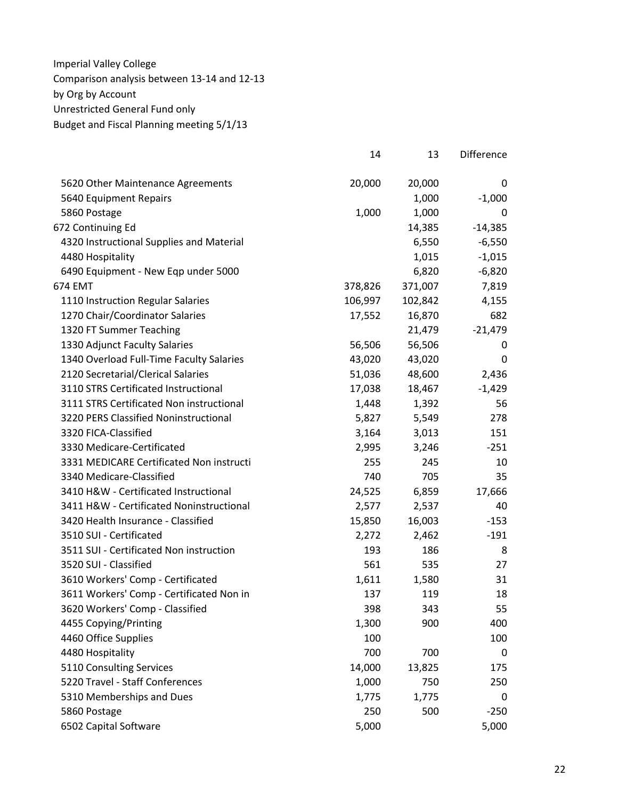|                                          | 14      | 13      | Difference |
|------------------------------------------|---------|---------|------------|
| 5620 Other Maintenance Agreements        | 20,000  | 20,000  | 0          |
| 5640 Equipment Repairs                   |         | 1,000   | $-1,000$   |
| 5860 Postage                             | 1,000   | 1,000   | 0          |
| 672 Continuing Ed                        |         | 14,385  | $-14,385$  |
| 4320 Instructional Supplies and Material |         | 6,550   | $-6,550$   |
| 4480 Hospitality                         |         | 1,015   | $-1,015$   |
| 6490 Equipment - New Eqp under 5000      |         | 6,820   | $-6,820$   |
| 674 EMT                                  | 378,826 | 371,007 | 7,819      |
| 1110 Instruction Regular Salaries        | 106,997 | 102,842 | 4,155      |
| 1270 Chair/Coordinator Salaries          | 17,552  | 16,870  | 682        |
| 1320 FT Summer Teaching                  |         | 21,479  | $-21,479$  |
| 1330 Adjunct Faculty Salaries            | 56,506  | 56,506  | 0          |
| 1340 Overload Full-Time Faculty Salaries | 43,020  | 43,020  | 0          |
| 2120 Secretarial/Clerical Salaries       | 51,036  | 48,600  | 2,436      |
| 3110 STRS Certificated Instructional     | 17,038  | 18,467  | $-1,429$   |
| 3111 STRS Certificated Non instructional | 1,448   | 1,392   | 56         |
| 3220 PERS Classified Noninstructional    | 5,827   | 5,549   | 278        |
| 3320 FICA-Classified                     | 3,164   | 3,013   | 151        |
| 3330 Medicare-Certificated               | 2,995   | 3,246   | $-251$     |
| 3331 MEDICARE Certificated Non instructi | 255     | 245     | 10         |
| 3340 Medicare-Classified                 | 740     | 705     | 35         |
| 3410 H&W - Certificated Instructional    | 24,525  | 6,859   | 17,666     |
| 3411 H&W - Certificated Noninstructional | 2,577   | 2,537   | 40         |
| 3420 Health Insurance - Classified       | 15,850  | 16,003  | $-153$     |
| 3510 SUI - Certificated                  | 2,272   | 2,462   | $-191$     |
| 3511 SUI - Certificated Non instruction  | 193     | 186     | 8          |
| 3520 SUI - Classified                    | 561     | 535     | 27         |
| 3610 Workers' Comp - Certificated        | 1,611   | 1,580   | 31         |
| 3611 Workers' Comp - Certificated Non in | 137     | 119     | 18         |
| 3620 Workers' Comp - Classified          | 398     | 343     | 55         |
| 4455 Copying/Printing                    | 1,300   | 900     | 400        |
| 4460 Office Supplies                     | 100     |         | 100        |
| 4480 Hospitality                         | 700     | 700     | 0          |
| 5110 Consulting Services                 | 14,000  | 13,825  | 175        |
| 5220 Travel - Staff Conferences          | 1,000   | 750     | 250        |
| 5310 Memberships and Dues                | 1,775   | 1,775   | 0          |
| 5860 Postage                             | 250     | 500     | $-250$     |
| 6502 Capital Software                    | 5,000   |         | 5,000      |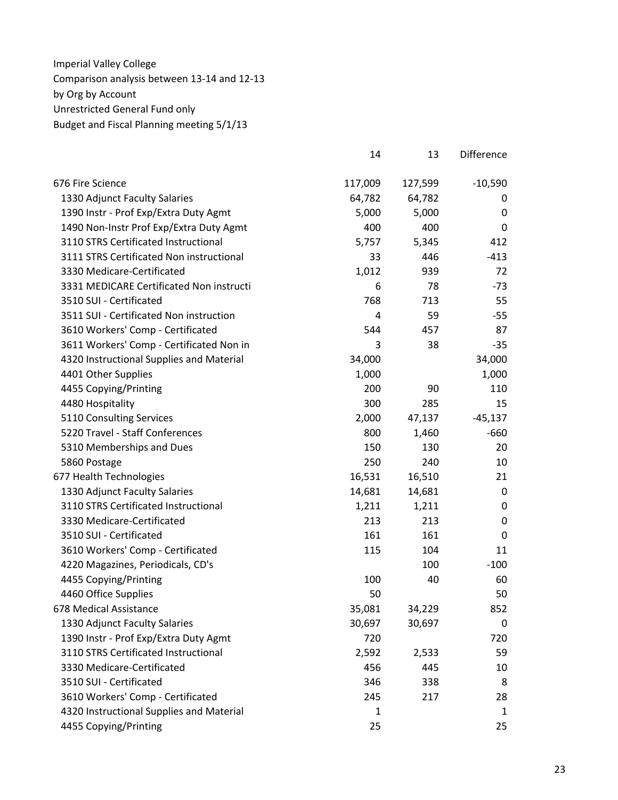|                                          | 14      | 13      | Difference       |
|------------------------------------------|---------|---------|------------------|
| 676 Fire Science                         | 117,009 | 127,599 | $-10,590$        |
| 1330 Adjunct Faculty Salaries            | 64,782  | 64,782  | 0                |
| 1390 Instr - Prof Exp/Extra Duty Agmt    | 5,000   | 5,000   | 0                |
| 1490 Non-Instr Prof Exp/Extra Duty Agmt  | 400     | 400     | 0                |
| 3110 STRS Certificated Instructional     | 5,757   | 5,345   | 412              |
| 3111 STRS Certificated Non instructional | 33      | 446     | $-413$           |
| 3330 Medicare-Certificated               | 1,012   | 939     | 72               |
| 3331 MEDICARE Certificated Non instructi | 6       | 78      | $-73$            |
| 3510 SUI - Certificated                  | 768     | 713     | 55               |
| 3511 SUI - Certificated Non instruction  | 4       | 59      | $-55$            |
| 3610 Workers' Comp - Certificated        | 544     | 457     | 87               |
| 3611 Workers' Comp - Certificated Non in | 3       | 38      | $-35$            |
| 4320 Instructional Supplies and Material | 34,000  |         | 34,000           |
| 4401 Other Supplies                      | 1,000   |         | 1,000            |
| 4455 Copying/Printing                    | 200     | 90      | 110              |
| 4480 Hospitality                         | 300     | 285     | 15               |
| 5110 Consulting Services                 | 2,000   | 47,137  | $-45,137$        |
| 5220 Travel - Staff Conferences          | 800     | 1,460   | $-660$           |
| 5310 Memberships and Dues                | 150     | 130     | 20               |
| 5860 Postage                             | 250     | 240     | 10               |
| 677 Health Technologies                  | 16,531  | 16,510  | 21               |
| 1330 Adjunct Faculty Salaries            | 14,681  | 14,681  | $\boldsymbol{0}$ |
| 3110 STRS Certificated Instructional     | 1,211   | 1,211   | $\mathbf 0$      |
| 3330 Medicare-Certificated               | 213     | 213     | 0                |
| 3510 SUI - Certificated                  | 161     | 161     | $\mathbf 0$      |
| 3610 Workers' Comp - Certificated        | 115     | 104     | 11               |
| 4220 Magazines, Periodicals, CD's        |         | 100     | $-100$           |
| 4455 Copying/Printing                    | 100     | 40      | 60               |
| 4460 Office Supplies                     | 50      |         | 50               |
| 678 Medical Assistance                   | 35,081  | 34,229  | 852              |
| 1330 Adjunct Faculty Salaries            | 30,697  | 30,697  | 0                |
| 1390 Instr - Prof Exp/Extra Duty Agmt    | 720     |         | 720              |
| 3110 STRS Certificated Instructional     | 2,592   | 2,533   | 59               |
| 3330 Medicare-Certificated               | 456     | 445     | 10               |
| 3510 SUI - Certificated                  | 346     | 338     | 8                |
| 3610 Workers' Comp - Certificated        | 245     | 217     | 28               |
| 4320 Instructional Supplies and Material | 1       |         | 1                |
| 4455 Copying/Printing                    | 25      |         | 25               |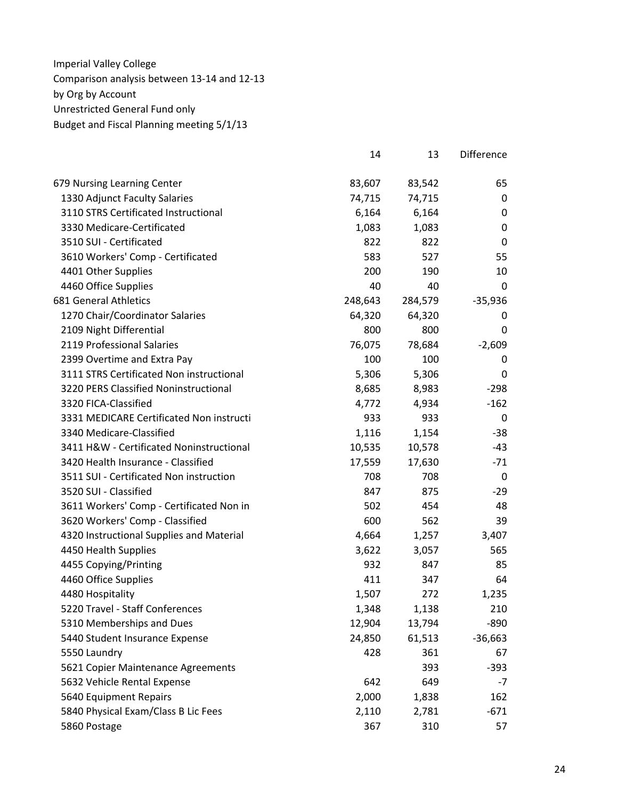|                                          | 14      | 13      | Difference  |
|------------------------------------------|---------|---------|-------------|
| 679 Nursing Learning Center              | 83,607  | 83,542  | 65          |
| 1330 Adjunct Faculty Salaries            | 74,715  | 74,715  | 0           |
| 3110 STRS Certificated Instructional     | 6,164   | 6,164   | 0           |
| 3330 Medicare-Certificated               | 1,083   | 1,083   | 0           |
| 3510 SUI - Certificated                  | 822     | 822     | 0           |
| 3610 Workers' Comp - Certificated        | 583     | 527     | 55          |
| 4401 Other Supplies                      | 200     | 190     | 10          |
| 4460 Office Supplies                     | 40      | 40      | $\mathbf 0$ |
| <b>681 General Athletics</b>             | 248,643 | 284,579 | $-35,936$   |
| 1270 Chair/Coordinator Salaries          | 64,320  | 64,320  | 0           |
| 2109 Night Differential                  | 800     | 800     | 0           |
| 2119 Professional Salaries               | 76,075  | 78,684  | $-2,609$    |
| 2399 Overtime and Extra Pay              | 100     | 100     | 0           |
| 3111 STRS Certificated Non instructional | 5,306   | 5,306   | 0           |
| 3220 PERS Classified Noninstructional    | 8,685   | 8,983   | $-298$      |
| 3320 FICA-Classified                     | 4,772   | 4,934   | $-162$      |
| 3331 MEDICARE Certificated Non instructi | 933     | 933     | 0           |
| 3340 Medicare-Classified                 | 1,116   | 1,154   | -38         |
| 3411 H&W - Certificated Noninstructional | 10,535  | 10,578  | $-43$       |
| 3420 Health Insurance - Classified       | 17,559  | 17,630  | $-71$       |
| 3511 SUI - Certificated Non instruction  | 708     | 708     | 0           |
| 3520 SUI - Classified                    | 847     | 875     | -29         |
| 3611 Workers' Comp - Certificated Non in | 502     | 454     | 48          |
| 3620 Workers' Comp - Classified          | 600     | 562     | 39          |
| 4320 Instructional Supplies and Material | 4,664   | 1,257   | 3,407       |
| 4450 Health Supplies                     | 3,622   | 3,057   | 565         |
| 4455 Copying/Printing                    | 932     | 847     | 85          |
| 4460 Office Supplies                     | 411     | 347     | 64          |
| 4480 Hospitality                         | 1,507   | 272     | 1,235       |
| 5220 Travel - Staff Conferences          | 1,348   | 1,138   | 210         |
| 5310 Memberships and Dues                | 12,904  | 13,794  | $-890$      |
| 5440 Student Insurance Expense           | 24,850  | 61,513  | $-36,663$   |
| 5550 Laundry                             | 428     | 361     | 67          |
| 5621 Copier Maintenance Agreements       |         | 393     | $-393$      |
| 5632 Vehicle Rental Expense              | 642     | 649     | $-7$        |
| 5640 Equipment Repairs                   | 2,000   | 1,838   | 162         |
| 5840 Physical Exam/Class B Lic Fees      | 2,110   | 2,781   | $-671$      |
| 5860 Postage                             | 367     | 310     | 57          |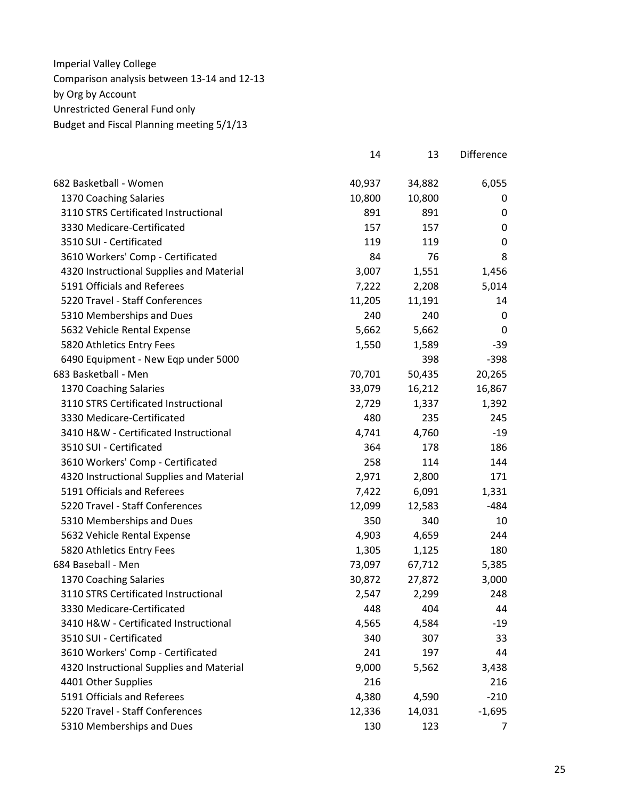|                                          | 14     | 13     | <b>Difference</b> |
|------------------------------------------|--------|--------|-------------------|
| 682 Basketball - Women                   | 40,937 | 34,882 | 6,055             |
| 1370 Coaching Salaries                   | 10,800 | 10,800 | 0                 |
| 3110 STRS Certificated Instructional     | 891    | 891    | 0                 |
| 3330 Medicare-Certificated               | 157    | 157    | 0                 |
| 3510 SUI - Certificated                  | 119    | 119    | 0                 |
| 3610 Workers' Comp - Certificated        | 84     | 76     | 8                 |
| 4320 Instructional Supplies and Material | 3,007  | 1,551  | 1,456             |
| 5191 Officials and Referees              | 7,222  | 2,208  | 5,014             |
| 5220 Travel - Staff Conferences          | 11,205 | 11,191 | 14                |
| 5310 Memberships and Dues                | 240    | 240    | 0                 |
| 5632 Vehicle Rental Expense              | 5,662  | 5,662  | 0                 |
| 5820 Athletics Entry Fees                | 1,550  | 1,589  | -39               |
| 6490 Equipment - New Eqp under 5000      |        | 398    | $-398$            |
| 683 Basketball - Men                     | 70,701 | 50,435 | 20,265            |
| 1370 Coaching Salaries                   | 33,079 | 16,212 | 16,867            |
| 3110 STRS Certificated Instructional     | 2,729  | 1,337  | 1,392             |
| 3330 Medicare-Certificated               | 480    | 235    | 245               |
| 3410 H&W - Certificated Instructional    | 4,741  | 4,760  | $-19$             |
| 3510 SUI - Certificated                  | 364    | 178    | 186               |
| 3610 Workers' Comp - Certificated        | 258    | 114    | 144               |
| 4320 Instructional Supplies and Material | 2,971  | 2,800  | 171               |
| 5191 Officials and Referees              | 7,422  | 6,091  | 1,331             |
| 5220 Travel - Staff Conferences          | 12,099 | 12,583 | $-484$            |
| 5310 Memberships and Dues                | 350    | 340    | 10                |
| 5632 Vehicle Rental Expense              | 4,903  | 4,659  | 244               |
| 5820 Athletics Entry Fees                | 1,305  | 1,125  | 180               |
| 684 Baseball - Men                       | 73,097 | 67,712 | 5,385             |
| 1370 Coaching Salaries                   | 30,872 | 27,872 | 3,000             |
| 3110 STRS Certificated Instructional     | 2,547  | 2,299  | 248               |
| 3330 Medicare-Certificated               | 448    | 404    | 44                |
| 3410 H&W - Certificated Instructional    | 4,565  | 4,584  | $-19$             |
| 3510 SUI - Certificated                  | 340    | 307    | 33                |
| 3610 Workers' Comp - Certificated        | 241    | 197    | 44                |
| 4320 Instructional Supplies and Material | 9,000  | 5,562  | 3,438             |
| 4401 Other Supplies                      | 216    |        | 216               |
| 5191 Officials and Referees              | 4,380  | 4,590  | $-210$            |
| 5220 Travel - Staff Conferences          | 12,336 | 14,031 | $-1,695$          |
| 5310 Memberships and Dues                | 130    | 123    | 7                 |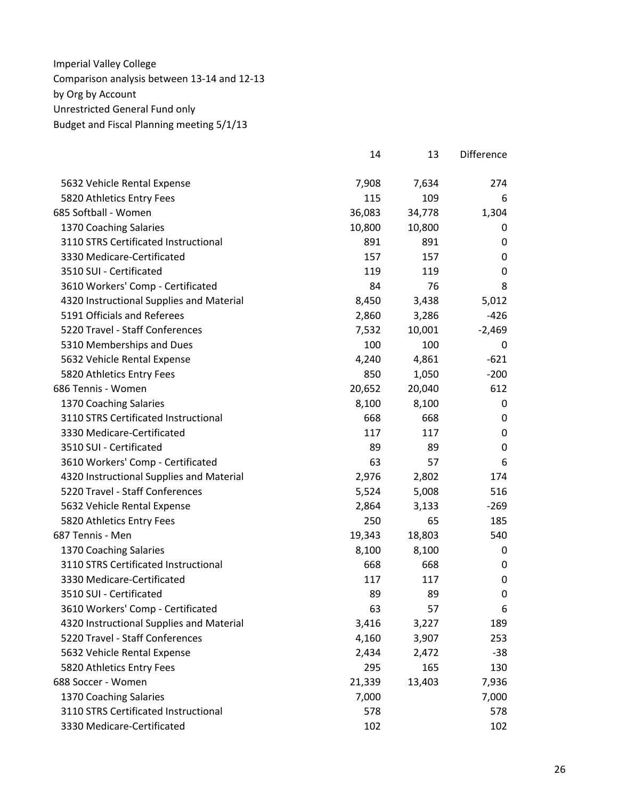|                                          | 14     | 13     | <b>Difference</b> |
|------------------------------------------|--------|--------|-------------------|
| 5632 Vehicle Rental Expense              | 7,908  | 7,634  | 274               |
| 5820 Athletics Entry Fees                | 115    | 109    | 6                 |
| 685 Softball - Women                     | 36,083 | 34,778 | 1,304             |
| 1370 Coaching Salaries                   | 10,800 | 10,800 | 0                 |
| 3110 STRS Certificated Instructional     | 891    | 891    | 0                 |
| 3330 Medicare-Certificated               | 157    | 157    | 0                 |
| 3510 SUI - Certificated                  | 119    | 119    | 0                 |
| 3610 Workers' Comp - Certificated        | 84     | 76     | 8                 |
| 4320 Instructional Supplies and Material | 8,450  | 3,438  | 5,012             |
| 5191 Officials and Referees              | 2,860  | 3,286  | $-426$            |
| 5220 Travel - Staff Conferences          | 7,532  | 10,001 | $-2,469$          |
| 5310 Memberships and Dues                | 100    | 100    | 0                 |
| 5632 Vehicle Rental Expense              | 4,240  | 4,861  | $-621$            |
| 5820 Athletics Entry Fees                | 850    | 1,050  | $-200$            |
| 686 Tennis - Women                       | 20,652 | 20,040 | 612               |
| 1370 Coaching Salaries                   | 8,100  | 8,100  | 0                 |
| 3110 STRS Certificated Instructional     | 668    | 668    | 0                 |
| 3330 Medicare-Certificated               | 117    | 117    | 0                 |
| 3510 SUI - Certificated                  | 89     | 89     | 0                 |
| 3610 Workers' Comp - Certificated        | 63     | 57     | 6                 |
| 4320 Instructional Supplies and Material | 2,976  | 2,802  | 174               |
| 5220 Travel - Staff Conferences          | 5,524  | 5,008  | 516               |
| 5632 Vehicle Rental Expense              | 2,864  | 3,133  | $-269$            |
| 5820 Athletics Entry Fees                | 250    | 65     | 185               |
| 687 Tennis - Men                         | 19,343 | 18,803 | 540               |
| 1370 Coaching Salaries                   | 8,100  | 8,100  | 0                 |
| 3110 STRS Certificated Instructional     | 668    | 668    | 0                 |
| 3330 Medicare-Certificated               | 117    | 117    | 0                 |
| 3510 SUI - Certificated                  | 89     | 89     | 0                 |
| 3610 Workers' Comp - Certificated        | 63     | 57     | 6                 |
| 4320 Instructional Supplies and Material | 3,416  | 3,227  | 189               |
| 5220 Travel - Staff Conferences          | 4,160  | 3,907  | 253               |
| 5632 Vehicle Rental Expense              | 2,434  | 2,472  | $-38$             |
| 5820 Athletics Entry Fees                | 295    | 165    | 130               |
| 688 Soccer - Women                       | 21,339 | 13,403 | 7,936             |
| 1370 Coaching Salaries                   | 7,000  |        | 7,000             |
| 3110 STRS Certificated Instructional     | 578    |        | 578               |
| 3330 Medicare-Certificated               | 102    |        | 102               |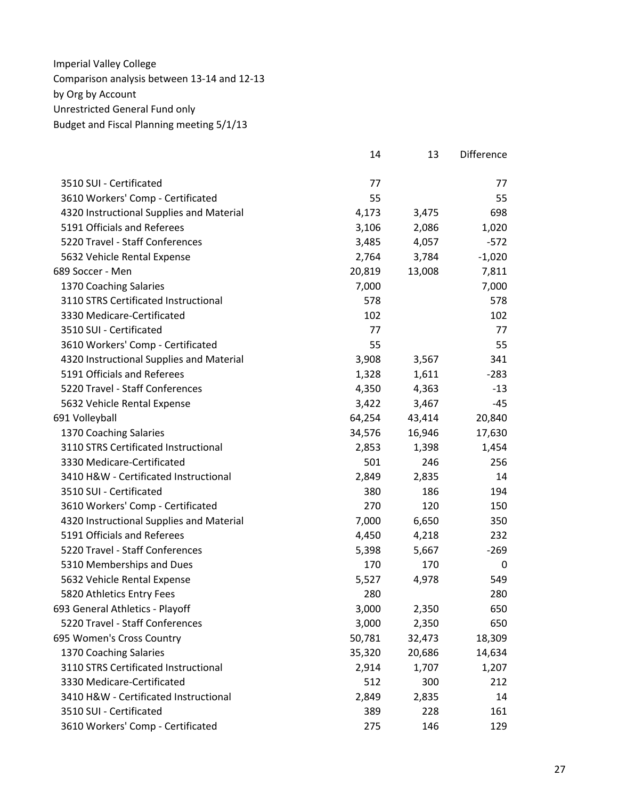|                                          | 14     | 13     | <b>Difference</b> |
|------------------------------------------|--------|--------|-------------------|
| 3510 SUI - Certificated                  | 77     |        | 77                |
| 3610 Workers' Comp - Certificated        | 55     |        | 55                |
| 4320 Instructional Supplies and Material | 4,173  | 3,475  | 698               |
| 5191 Officials and Referees              | 3,106  | 2,086  | 1,020             |
| 5220 Travel - Staff Conferences          | 3,485  | 4,057  | $-572$            |
| 5632 Vehicle Rental Expense              | 2,764  | 3,784  | $-1,020$          |
| 689 Soccer - Men                         | 20,819 | 13,008 | 7,811             |
| 1370 Coaching Salaries                   | 7,000  |        | 7,000             |
| 3110 STRS Certificated Instructional     | 578    |        | 578               |
| 3330 Medicare-Certificated               | 102    |        | 102               |
| 3510 SUI - Certificated                  | 77     |        | 77                |
| 3610 Workers' Comp - Certificated        | 55     |        | 55                |
| 4320 Instructional Supplies and Material | 3,908  | 3,567  | 341               |
| 5191 Officials and Referees              | 1,328  | 1,611  | $-283$            |
| 5220 Travel - Staff Conferences          | 4,350  | 4,363  | $-13$             |
| 5632 Vehicle Rental Expense              | 3,422  | 3,467  | -45               |
| 691 Volleyball                           | 64,254 | 43,414 | 20,840            |
| 1370 Coaching Salaries                   | 34,576 | 16,946 | 17,630            |
| 3110 STRS Certificated Instructional     | 2,853  | 1,398  | 1,454             |
| 3330 Medicare-Certificated               | 501    | 246    | 256               |
| 3410 H&W - Certificated Instructional    | 2,849  | 2,835  | 14                |
| 3510 SUI - Certificated                  | 380    | 186    | 194               |
| 3610 Workers' Comp - Certificated        | 270    | 120    | 150               |
| 4320 Instructional Supplies and Material | 7,000  | 6,650  | 350               |
| 5191 Officials and Referees              | 4,450  | 4,218  | 232               |
| 5220 Travel - Staff Conferences          | 5,398  | 5,667  | $-269$            |
| 5310 Memberships and Dues                | 170    | 170    | 0                 |
| 5632 Vehicle Rental Expense              | 5,527  | 4,978  | 549               |
| 5820 Athletics Entry Fees                | 280    |        | 280               |
| 693 General Athletics - Playoff          | 3,000  | 2,350  | 650               |
| 5220 Travel - Staff Conferences          | 3,000  | 2,350  | 650               |
| 695 Women's Cross Country                | 50,781 | 32,473 | 18,309            |
| 1370 Coaching Salaries                   | 35,320 | 20,686 | 14,634            |
| 3110 STRS Certificated Instructional     | 2,914  | 1,707  | 1,207             |
| 3330 Medicare-Certificated               | 512    | 300    | 212               |
| 3410 H&W - Certificated Instructional    | 2,849  | 2,835  | 14                |
| 3510 SUI - Certificated                  | 389    | 228    | 161               |
| 3610 Workers' Comp - Certificated        | 275    | 146    | 129               |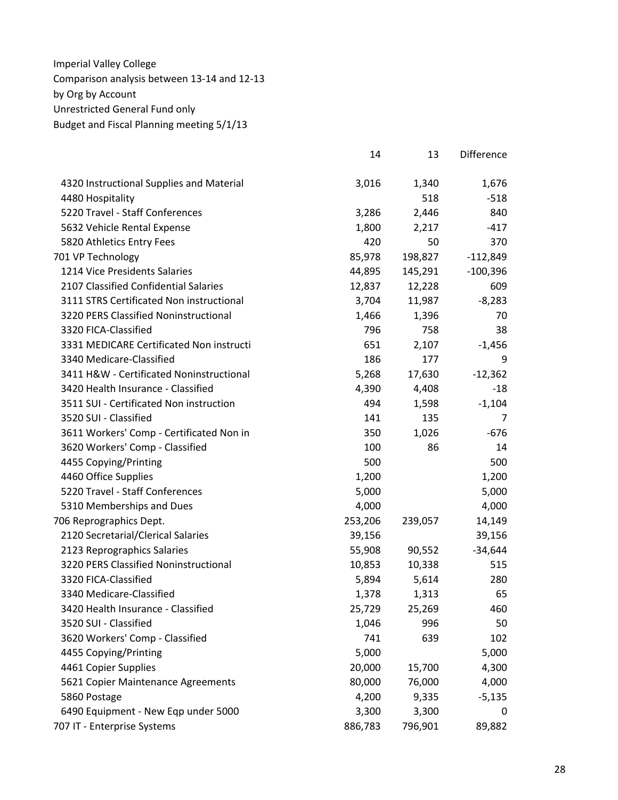|                                          | 14      | 13      | <b>Difference</b> |
|------------------------------------------|---------|---------|-------------------|
| 4320 Instructional Supplies and Material | 3,016   | 1,340   | 1,676             |
| 4480 Hospitality                         |         | 518     | $-518$            |
| 5220 Travel - Staff Conferences          | 3,286   | 2,446   | 840               |
| 5632 Vehicle Rental Expense              | 1,800   | 2,217   | $-417$            |
| 5820 Athletics Entry Fees                | 420     | 50      | 370               |
| 701 VP Technology                        | 85,978  | 198,827 | $-112,849$        |
| 1214 Vice Presidents Salaries            | 44,895  | 145,291 | $-100,396$        |
| 2107 Classified Confidential Salaries    | 12,837  | 12,228  | 609               |
| 3111 STRS Certificated Non instructional | 3,704   | 11,987  | $-8,283$          |
| 3220 PERS Classified Noninstructional    | 1,466   | 1,396   | 70                |
| 3320 FICA-Classified                     | 796     | 758     | 38                |
| 3331 MEDICARE Certificated Non instructi | 651     | 2,107   | $-1,456$          |
| 3340 Medicare-Classified                 | 186     | 177     | 9                 |
| 3411 H&W - Certificated Noninstructional | 5,268   | 17,630  | $-12,362$         |
| 3420 Health Insurance - Classified       | 4,390   | 4,408   | $-18$             |
| 3511 SUI - Certificated Non instruction  | 494     | 1,598   | $-1,104$          |
| 3520 SUI - Classified                    | 141     | 135     | 7                 |
| 3611 Workers' Comp - Certificated Non in | 350     | 1,026   | $-676$            |
| 3620 Workers' Comp - Classified          | 100     | 86      | 14                |
| 4455 Copying/Printing                    | 500     |         | 500               |
| 4460 Office Supplies                     | 1,200   |         | 1,200             |
| 5220 Travel - Staff Conferences          | 5,000   |         | 5,000             |
| 5310 Memberships and Dues                | 4,000   |         | 4,000             |
| 706 Reprographics Dept.                  | 253,206 | 239,057 | 14,149            |
| 2120 Secretarial/Clerical Salaries       | 39,156  |         | 39,156            |
| 2123 Reprographics Salaries              | 55,908  | 90,552  | $-34,644$         |
| 3220 PERS Classified Noninstructional    | 10,853  | 10,338  | 515               |
| 3320 FICA-Classified                     | 5,894   | 5,614   | 280               |
| 3340 Medicare-Classified                 | 1,378   | 1,313   | 65                |
| 3420 Health Insurance - Classified       | 25,729  | 25,269  | 460               |
| 3520 SUI - Classified                    | 1,046   | 996     | 50                |
| 3620 Workers' Comp - Classified          | 741     | 639     | 102               |
| 4455 Copying/Printing                    | 5,000   |         | 5,000             |
| 4461 Copier Supplies                     | 20,000  | 15,700  | 4,300             |
| 5621 Copier Maintenance Agreements       | 80,000  | 76,000  | 4,000             |
| 5860 Postage                             | 4,200   | 9,335   | $-5,135$          |
| 6490 Equipment - New Eqp under 5000      | 3,300   | 3,300   | 0                 |
| 707 IT - Enterprise Systems              | 886,783 | 796,901 | 89,882            |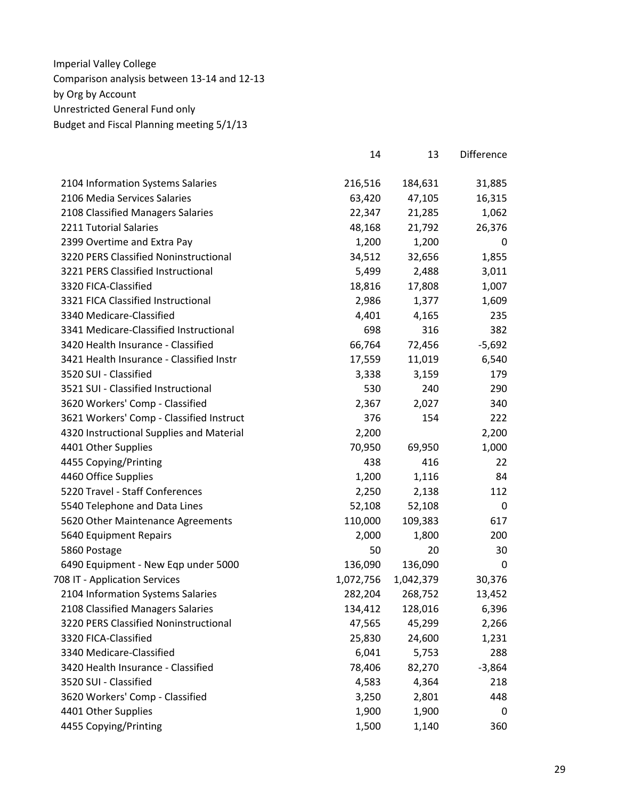|                                          | 14        | 13        | Difference |
|------------------------------------------|-----------|-----------|------------|
| 2104 Information Systems Salaries        | 216,516   | 184,631   | 31,885     |
| 2106 Media Services Salaries             | 63,420    | 47,105    | 16,315     |
| 2108 Classified Managers Salaries        | 22,347    | 21,285    | 1,062      |
| 2211 Tutorial Salaries                   | 48,168    | 21,792    | 26,376     |
| 2399 Overtime and Extra Pay              | 1,200     | 1,200     | 0          |
| 3220 PERS Classified Noninstructional    | 34,512    | 32,656    | 1,855      |
| 3221 PERS Classified Instructional       | 5,499     | 2,488     | 3,011      |
| 3320 FICA-Classified                     | 18,816    | 17,808    | 1,007      |
| 3321 FICA Classified Instructional       | 2,986     | 1,377     | 1,609      |
| 3340 Medicare-Classified                 | 4,401     | 4,165     | 235        |
| 3341 Medicare-Classified Instructional   | 698       | 316       | 382        |
| 3420 Health Insurance - Classified       | 66,764    | 72,456    | $-5,692$   |
| 3421 Health Insurance - Classified Instr | 17,559    | 11,019    | 6,540      |
| 3520 SUI - Classified                    | 3,338     | 3,159     | 179        |
| 3521 SUI - Classified Instructional      | 530       | 240       | 290        |
| 3620 Workers' Comp - Classified          | 2,367     | 2,027     | 340        |
| 3621 Workers' Comp - Classified Instruct | 376       | 154       | 222        |
| 4320 Instructional Supplies and Material | 2,200     |           | 2,200      |
| 4401 Other Supplies                      | 70,950    | 69,950    | 1,000      |
| 4455 Copying/Printing                    | 438       | 416       | 22         |
| 4460 Office Supplies                     | 1,200     | 1,116     | 84         |
| 5220 Travel - Staff Conferences          | 2,250     | 2,138     | 112        |
| 5540 Telephone and Data Lines            | 52,108    | 52,108    | 0          |
| 5620 Other Maintenance Agreements        | 110,000   | 109,383   | 617        |
| 5640 Equipment Repairs                   | 2,000     | 1,800     | 200        |
| 5860 Postage                             | 50        | 20        | 30         |
| 6490 Equipment - New Eqp under 5000      | 136,090   | 136,090   | 0          |
| 708 IT - Application Services            | 1,072,756 | 1,042,379 | 30,376     |
| 2104 Information Systems Salaries        | 282,204   | 268,752   | 13,452     |
| 2108 Classified Managers Salaries        | 134,412   | 128,016   | 6,396      |
| 3220 PERS Classified Noninstructional    | 47,565    | 45,299    | 2,266      |
| 3320 FICA-Classified                     | 25,830    | 24,600    | 1,231      |
| 3340 Medicare-Classified                 | 6,041     | 5,753     | 288        |
| 3420 Health Insurance - Classified       | 78,406    | 82,270    | $-3,864$   |
| 3520 SUI - Classified                    | 4,583     | 4,364     | 218        |
| 3620 Workers' Comp - Classified          | 3,250     | 2,801     | 448        |
| 4401 Other Supplies                      | 1,900     | 1,900     | 0          |
| 4455 Copying/Printing                    | 1,500     | 1,140     | 360        |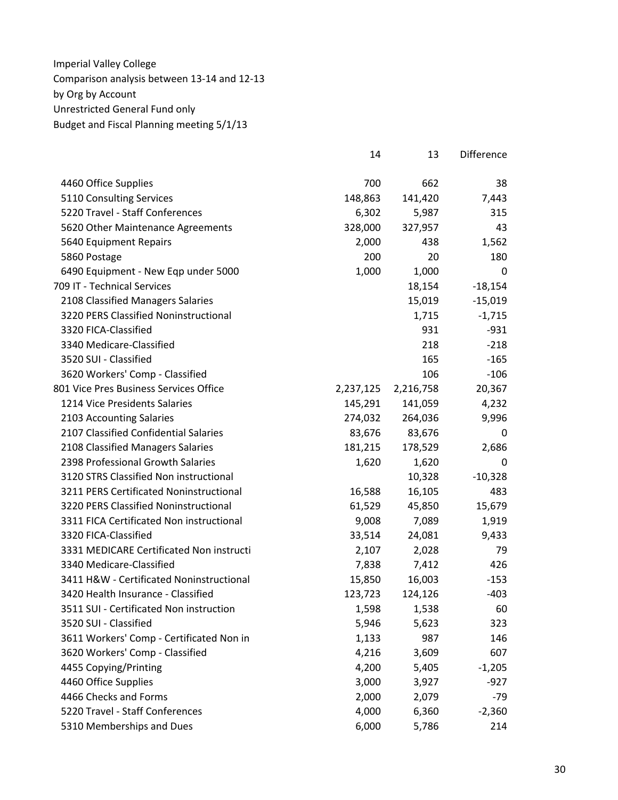|                                          | 14        | 13        | Difference |
|------------------------------------------|-----------|-----------|------------|
| 4460 Office Supplies                     | 700       | 662       | 38         |
| 5110 Consulting Services                 | 148,863   | 141,420   | 7,443      |
| 5220 Travel - Staff Conferences          | 6,302     | 5,987     | 315        |
| 5620 Other Maintenance Agreements        | 328,000   | 327,957   | 43         |
| 5640 Equipment Repairs                   | 2,000     | 438       | 1,562      |
| 5860 Postage                             | 200       | 20        | 180        |
| 6490 Equipment - New Eqp under 5000      | 1,000     | 1,000     | 0          |
| 709 IT - Technical Services              |           | 18,154    | $-18,154$  |
| 2108 Classified Managers Salaries        |           | 15,019    | $-15,019$  |
| 3220 PERS Classified Noninstructional    |           | 1,715     | $-1,715$   |
| 3320 FICA-Classified                     |           | 931       | $-931$     |
| 3340 Medicare-Classified                 |           | 218       | $-218$     |
| 3520 SUI - Classified                    |           | 165       | $-165$     |
| 3620 Workers' Comp - Classified          |           | 106       | $-106$     |
| 801 Vice Pres Business Services Office   | 2,237,125 | 2,216,758 | 20,367     |
| 1214 Vice Presidents Salaries            | 145,291   | 141,059   | 4,232      |
| 2103 Accounting Salaries                 | 274,032   | 264,036   | 9,996      |
| 2107 Classified Confidential Salaries    | 83,676    | 83,676    | 0          |
| 2108 Classified Managers Salaries        | 181,215   | 178,529   | 2,686      |
| 2398 Professional Growth Salaries        | 1,620     | 1,620     | 0          |
| 3120 STRS Classified Non instructional   |           | 10,328    | $-10,328$  |
| 3211 PERS Certificated Noninstructional  | 16,588    | 16,105    | 483        |
| 3220 PERS Classified Noninstructional    | 61,529    | 45,850    | 15,679     |
| 3311 FICA Certificated Non instructional | 9,008     | 7,089     | 1,919      |
| 3320 FICA-Classified                     | 33,514    | 24,081    | 9,433      |
| 3331 MEDICARE Certificated Non instructi | 2,107     | 2,028     | 79         |
| 3340 Medicare-Classified                 | 7,838     | 7,412     | 426        |
| 3411 H&W - Certificated Noninstructional | 15,850    | 16,003    | $-153$     |
| 3420 Health Insurance - Classified       | 123,723   | 124,126   | $-403$     |
| 3511 SUI - Certificated Non instruction  | 1,598     | 1,538     | 60         |
| 3520 SUI - Classified                    | 5,946     | 5,623     | 323        |
| 3611 Workers' Comp - Certificated Non in | 1,133     | 987       | 146        |
| 3620 Workers' Comp - Classified          | 4,216     | 3,609     | 607        |
| 4455 Copying/Printing                    | 4,200     | 5,405     | $-1,205$   |
| 4460 Office Supplies                     | 3,000     | 3,927     | $-927$     |
| 4466 Checks and Forms                    | 2,000     | 2,079     | $-79$      |
| 5220 Travel - Staff Conferences          | 4,000     | 6,360     | $-2,360$   |
| 5310 Memberships and Dues                | 6,000     | 5,786     | 214        |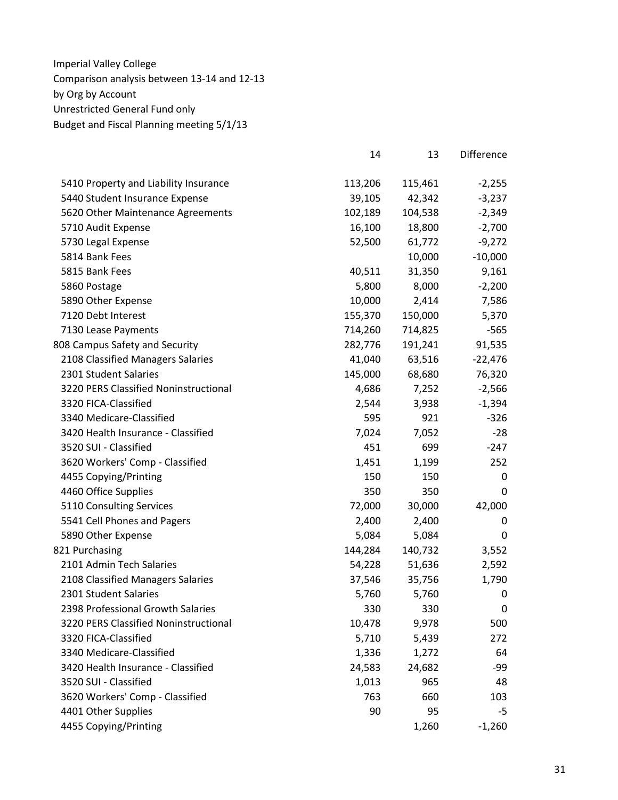|                                       | 14      | 13      | Difference |
|---------------------------------------|---------|---------|------------|
| 5410 Property and Liability Insurance | 113,206 | 115,461 | $-2,255$   |
| 5440 Student Insurance Expense        | 39,105  | 42,342  | $-3,237$   |
| 5620 Other Maintenance Agreements     | 102,189 | 104,538 | $-2,349$   |
| 5710 Audit Expense                    | 16,100  | 18,800  | $-2,700$   |
| 5730 Legal Expense                    | 52,500  | 61,772  | $-9,272$   |
| 5814 Bank Fees                        |         | 10,000  | $-10,000$  |
| 5815 Bank Fees                        | 40,511  | 31,350  | 9,161      |
| 5860 Postage                          | 5,800   | 8,000   | $-2,200$   |
| 5890 Other Expense                    | 10,000  | 2,414   | 7,586      |
| 7120 Debt Interest                    | 155,370 | 150,000 | 5,370      |
| 7130 Lease Payments                   | 714,260 | 714,825 | $-565$     |
| 808 Campus Safety and Security        | 282,776 | 191,241 | 91,535     |
| 2108 Classified Managers Salaries     | 41,040  | 63,516  | $-22,476$  |
| 2301 Student Salaries                 | 145,000 | 68,680  | 76,320     |
| 3220 PERS Classified Noninstructional | 4,686   | 7,252   | $-2,566$   |
| 3320 FICA-Classified                  | 2,544   | 3,938   | $-1,394$   |
| 3340 Medicare-Classified              | 595     | 921     | $-326$     |
| 3420 Health Insurance - Classified    | 7,024   | 7,052   | $-28$      |
| 3520 SUI - Classified                 | 451     | 699     | $-247$     |
| 3620 Workers' Comp - Classified       | 1,451   | 1,199   | 252        |
| 4455 Copying/Printing                 | 150     | 150     | 0          |
| 4460 Office Supplies                  | 350     | 350     | 0          |
| 5110 Consulting Services              | 72,000  | 30,000  | 42,000     |
| 5541 Cell Phones and Pagers           | 2,400   | 2,400   | 0          |
| 5890 Other Expense                    | 5,084   | 5,084   | 0          |
| 821 Purchasing                        | 144,284 | 140,732 | 3,552      |
| 2101 Admin Tech Salaries              | 54,228  | 51,636  | 2,592      |
| 2108 Classified Managers Salaries     | 37,546  | 35,756  | 1,790      |
| 2301 Student Salaries                 | 5,760   | 5,760   | 0          |
| 2398 Professional Growth Salaries     | 330     | 330     | 0          |
| 3220 PERS Classified Noninstructional | 10,478  | 9,978   | 500        |
| 3320 FICA-Classified                  | 5,710   | 5,439   | 272        |
| 3340 Medicare-Classified              | 1,336   | 1,272   | 64         |
| 3420 Health Insurance - Classified    | 24,583  | 24,682  | -99        |
| 3520 SUI - Classified                 | 1,013   | 965     | 48         |
| 3620 Workers' Comp - Classified       | 763     | 660     | 103        |
| 4401 Other Supplies                   | 90      | 95      | -5         |
| 4455 Copying/Printing                 |         | 1,260   | $-1,260$   |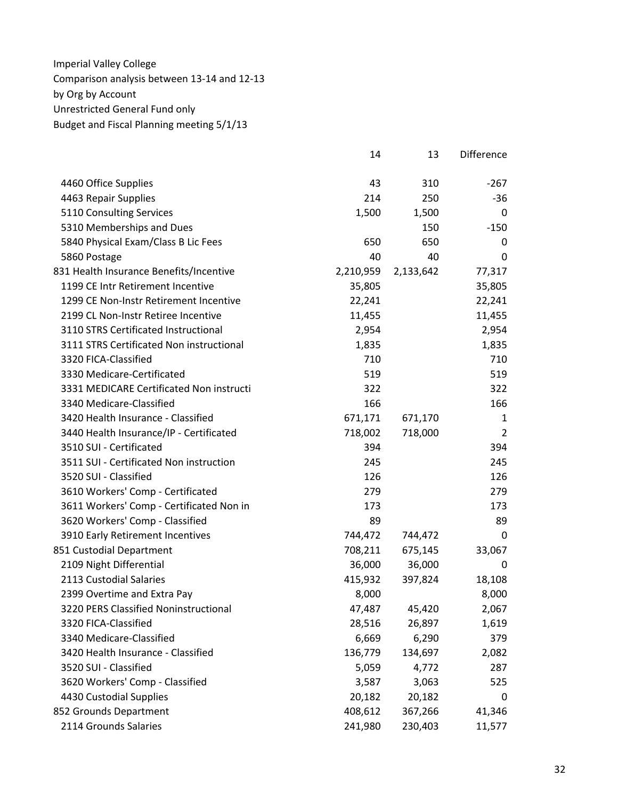|                                          | 14        | 13        | Difference |
|------------------------------------------|-----------|-----------|------------|
| 4460 Office Supplies                     | 43        | 310       | $-267$     |
| 4463 Repair Supplies                     | 214       | 250       | -36        |
| 5110 Consulting Services                 | 1,500     | 1,500     | 0          |
| 5310 Memberships and Dues                |           | 150       | $-150$     |
| 5840 Physical Exam/Class B Lic Fees      | 650       | 650       | 0          |
| 5860 Postage                             | 40        | 40        | 0          |
| 831 Health Insurance Benefits/Incentive  | 2,210,959 | 2,133,642 | 77,317     |
| 1199 CE Intr Retirement Incentive        | 35,805    |           | 35,805     |
| 1299 CE Non-Instr Retirement Incentive   | 22,241    |           | 22,241     |
| 2199 CL Non-Instr Retiree Incentive      | 11,455    |           | 11,455     |
| 3110 STRS Certificated Instructional     | 2,954     |           | 2,954      |
| 3111 STRS Certificated Non instructional | 1,835     |           | 1,835      |
| 3320 FICA-Classified                     | 710       |           | 710        |
| 3330 Medicare-Certificated               | 519       |           | 519        |
| 3331 MEDICARE Certificated Non instructi | 322       |           | 322        |
| 3340 Medicare-Classified                 | 166       |           | 166        |
| 3420 Health Insurance - Classified       | 671,171   | 671,170   | 1          |
| 3440 Health Insurance/IP - Certificated  | 718,002   | 718,000   | 2          |
| 3510 SUI - Certificated                  | 394       |           | 394        |
| 3511 SUI - Certificated Non instruction  | 245       |           | 245        |
| 3520 SUI - Classified                    | 126       |           | 126        |
| 3610 Workers' Comp - Certificated        | 279       |           | 279        |
| 3611 Workers' Comp - Certificated Non in | 173       |           | 173        |
| 3620 Workers' Comp - Classified          | 89        |           | 89         |
| 3910 Early Retirement Incentives         | 744,472   | 744,472   | 0          |
| 851 Custodial Department                 | 708,211   | 675,145   | 33,067     |
| 2109 Night Differential                  | 36,000    | 36,000    | 0          |
| 2113 Custodial Salaries                  | 415,932   | 397,824   | 18,108     |
| 2399 Overtime and Extra Pay              | 8,000     |           | 8,000      |
| 3220 PERS Classified Noninstructional    | 47,487    | 45,420    | 2,067      |
| 3320 FICA-Classified                     | 28,516    | 26,897    | 1,619      |
| 3340 Medicare-Classified                 | 6,669     | 6,290     | 379        |
| 3420 Health Insurance - Classified       | 136,779   | 134,697   | 2,082      |
| 3520 SUI - Classified                    | 5,059     | 4,772     | 287        |
| 3620 Workers' Comp - Classified          | 3,587     | 3,063     | 525        |
| 4430 Custodial Supplies                  | 20,182    | 20,182    | 0          |
| 852 Grounds Department                   | 408,612   | 367,266   | 41,346     |
| 2114 Grounds Salaries                    | 241,980   | 230,403   | 11,577     |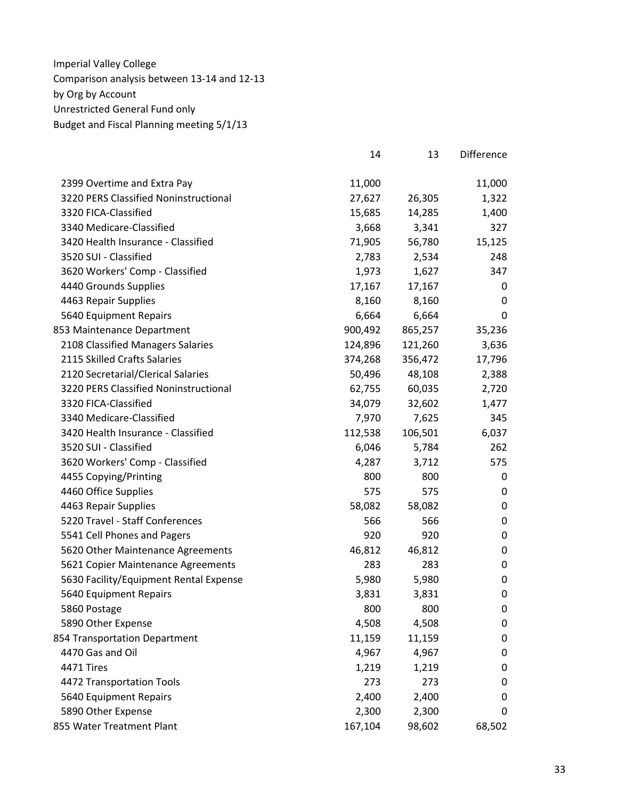|                                        | 14      | 13      | Difference       |
|----------------------------------------|---------|---------|------------------|
| 2399 Overtime and Extra Pay            | 11,000  |         | 11,000           |
| 3220 PERS Classified Noninstructional  | 27,627  | 26,305  | 1,322            |
| 3320 FICA-Classified                   | 15,685  | 14,285  | 1,400            |
| 3340 Medicare-Classified               | 3,668   | 3,341   | 327              |
| 3420 Health Insurance - Classified     | 71,905  | 56,780  | 15,125           |
| 3520 SUI - Classified                  | 2,783   | 2,534   | 248              |
| 3620 Workers' Comp - Classified        | 1,973   | 1,627   | 347              |
| 4440 Grounds Supplies                  | 17,167  | 17,167  | 0                |
| 4463 Repair Supplies                   | 8,160   | 8,160   | 0                |
| 5640 Equipment Repairs                 | 6,664   | 6,664   | 0                |
| 853 Maintenance Department             | 900,492 | 865,257 | 35,236           |
| 2108 Classified Managers Salaries      | 124,896 | 121,260 | 3,636            |
| 2115 Skilled Crafts Salaries           | 374,268 | 356,472 | 17,796           |
| 2120 Secretarial/Clerical Salaries     | 50,496  | 48,108  | 2,388            |
| 3220 PERS Classified Noninstructional  | 62,755  | 60,035  | 2,720            |
| 3320 FICA-Classified                   | 34,079  | 32,602  | 1,477            |
| 3340 Medicare-Classified               | 7,970   | 7,625   | 345              |
| 3420 Health Insurance - Classified     | 112,538 | 106,501 | 6,037            |
| 3520 SUI - Classified                  | 6,046   | 5,784   | 262              |
| 3620 Workers' Comp - Classified        | 4,287   | 3,712   | 575              |
| 4455 Copying/Printing                  | 800     | 800     | 0                |
| 4460 Office Supplies                   | 575     | 575     | 0                |
| 4463 Repair Supplies                   | 58,082  | 58,082  | 0                |
| 5220 Travel - Staff Conferences        | 566     | 566     | $\boldsymbol{0}$ |
| 5541 Cell Phones and Pagers            | 920     | 920     | $\mathbf 0$      |
| 5620 Other Maintenance Agreements      | 46,812  | 46,812  | 0                |
| 5621 Copier Maintenance Agreements     | 283     | 283     | 0                |
| 5630 Facility/Equipment Rental Expense | 5,980   | 5,980   | 0                |
| 5640 Equipment Repairs                 | 3,831   | 3,831   | $\mathbf 0$      |
| 5860 Postage                           | 800     | 800     | 0                |
| 5890 Other Expense                     | 4,508   | 4,508   | $\mathbf 0$      |
| 854 Transportation Department          | 11,159  | 11,159  | 0                |
| 4470 Gas and Oil                       | 4,967   | 4,967   | 0                |
| 4471 Tires                             | 1,219   | 1,219   | 0                |
| 4472 Transportation Tools              | 273     | 273     | 0                |
| 5640 Equipment Repairs                 | 2,400   | 2,400   | 0                |
| 5890 Other Expense                     | 2,300   | 2,300   | 0                |
| 855 Water Treatment Plant              | 167,104 | 98,602  | 68,502           |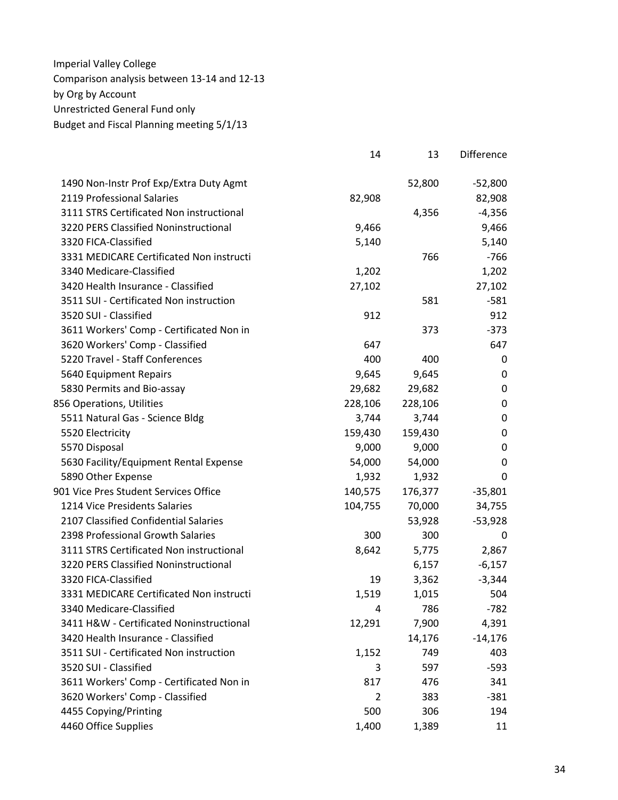|                                          | 14      | 13      | Difference  |
|------------------------------------------|---------|---------|-------------|
| 1490 Non-Instr Prof Exp/Extra Duty Agmt  |         | 52,800  | $-52,800$   |
| 2119 Professional Salaries               | 82,908  |         | 82,908      |
| 3111 STRS Certificated Non instructional |         | 4,356   | $-4,356$    |
| 3220 PERS Classified Noninstructional    | 9,466   |         | 9,466       |
| 3320 FICA-Classified                     | 5,140   |         | 5,140       |
| 3331 MEDICARE Certificated Non instructi |         | 766     | $-766$      |
| 3340 Medicare-Classified                 | 1,202   |         | 1,202       |
| 3420 Health Insurance - Classified       | 27,102  |         | 27,102      |
| 3511 SUI - Certificated Non instruction  |         | 581     | $-581$      |
| 3520 SUI - Classified                    | 912     |         | 912         |
| 3611 Workers' Comp - Certificated Non in |         | 373     | $-373$      |
| 3620 Workers' Comp - Classified          | 647     |         | 647         |
| 5220 Travel - Staff Conferences          | 400     | 400     | 0           |
| 5640 Equipment Repairs                   | 9,645   | 9,645   | 0           |
| 5830 Permits and Bio-assay               | 29,682  | 29,682  | $\mathbf 0$ |
| 856 Operations, Utilities                | 228,106 | 228,106 | $\mathbf 0$ |
| 5511 Natural Gas - Science Bldg          | 3,744   | 3,744   | $\mathbf 0$ |
| 5520 Electricity                         | 159,430 | 159,430 | $\mathbf 0$ |
| 5570 Disposal                            | 9,000   | 9,000   | $\mathbf 0$ |
| 5630 Facility/Equipment Rental Expense   | 54,000  | 54,000  | $\mathbf 0$ |
| 5890 Other Expense                       | 1,932   | 1,932   | 0           |
| 901 Vice Pres Student Services Office    | 140,575 | 176,377 | $-35,801$   |
| 1214 Vice Presidents Salaries            | 104,755 | 70,000  | 34,755      |
| 2107 Classified Confidential Salaries    |         | 53,928  | $-53,928$   |
| 2398 Professional Growth Salaries        | 300     | 300     | 0           |
| 3111 STRS Certificated Non instructional | 8,642   | 5,775   | 2,867       |
| 3220 PERS Classified Noninstructional    |         | 6,157   | $-6,157$    |
| 3320 FICA-Classified                     | 19      | 3,362   | $-3,344$    |
| 3331 MEDICARE Certificated Non instructi | 1,519   | 1,015   | 504         |
| 3340 Medicare-Classified                 | 4       | 786     | $-782$      |
| 3411 H&W - Certificated Noninstructional | 12,291  | 7,900   | 4,391       |
| 3420 Health Insurance - Classified       |         | 14,176  | $-14,176$   |
| 3511 SUI - Certificated Non instruction  | 1,152   | 749     | 403         |
| 3520 SUI - Classified                    | 3       | 597     | $-593$      |
| 3611 Workers' Comp - Certificated Non in | 817     | 476     | 341         |
| 3620 Workers' Comp - Classified          | 2       | 383     | $-381$      |
| 4455 Copying/Printing                    | 500     | 306     | 194         |
| 4460 Office Supplies                     | 1,400   | 1,389   | 11          |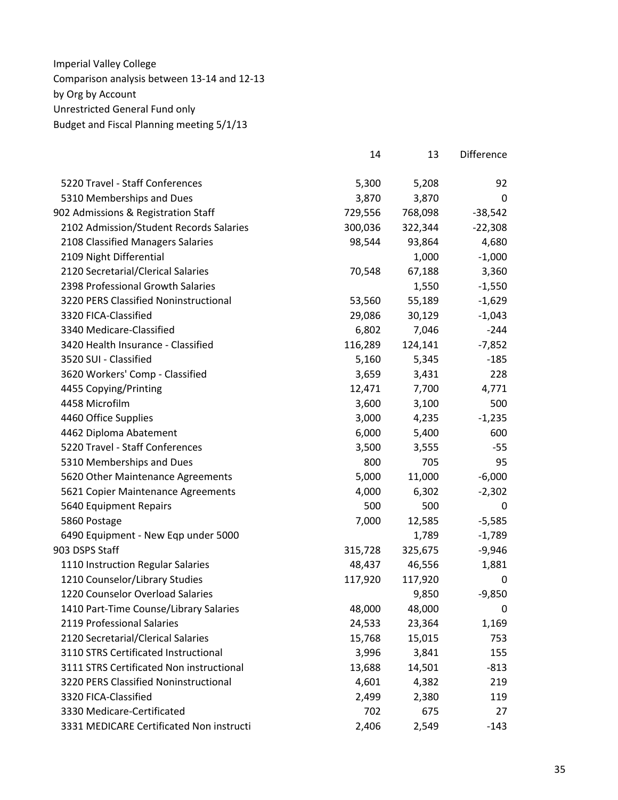|                                          | 14      | 13      | Difference |
|------------------------------------------|---------|---------|------------|
| 5220 Travel - Staff Conferences          | 5,300   | 5,208   | 92         |
| 5310 Memberships and Dues                | 3,870   | 3,870   | 0          |
| 902 Admissions & Registration Staff      | 729,556 | 768,098 | $-38,542$  |
| 2102 Admission/Student Records Salaries  | 300,036 | 322,344 | $-22,308$  |
| 2108 Classified Managers Salaries        | 98,544  | 93,864  | 4,680      |
| 2109 Night Differential                  |         | 1,000   | $-1,000$   |
| 2120 Secretarial/Clerical Salaries       | 70,548  | 67,188  | 3,360      |
| 2398 Professional Growth Salaries        |         | 1,550   | $-1,550$   |
| 3220 PERS Classified Noninstructional    | 53,560  | 55,189  | $-1,629$   |
| 3320 FICA-Classified                     | 29,086  | 30,129  | $-1,043$   |
| 3340 Medicare-Classified                 | 6,802   | 7,046   | $-244$     |
| 3420 Health Insurance - Classified       | 116,289 | 124,141 | $-7,852$   |
| 3520 SUI - Classified                    | 5,160   | 5,345   | $-185$     |
| 3620 Workers' Comp - Classified          | 3,659   | 3,431   | 228        |
| 4455 Copying/Printing                    | 12,471  | 7,700   | 4,771      |
| 4458 Microfilm                           | 3,600   | 3,100   | 500        |
| 4460 Office Supplies                     | 3,000   | 4,235   | $-1,235$   |
| 4462 Diploma Abatement                   | 6,000   | 5,400   | 600        |
| 5220 Travel - Staff Conferences          | 3,500   | 3,555   | $-55$      |
| 5310 Memberships and Dues                | 800     | 705     | 95         |
| 5620 Other Maintenance Agreements        | 5,000   | 11,000  | $-6,000$   |
| 5621 Copier Maintenance Agreements       | 4,000   | 6,302   | $-2,302$   |
| 5640 Equipment Repairs                   | 500     | 500     | 0          |
| 5860 Postage                             | 7,000   | 12,585  | $-5,585$   |
| 6490 Equipment - New Eqp under 5000      |         | 1,789   | $-1,789$   |
| 903 DSPS Staff                           | 315,728 | 325,675 | $-9,946$   |
| 1110 Instruction Regular Salaries        | 48,437  | 46,556  | 1,881      |
| 1210 Counselor/Library Studies           | 117,920 | 117,920 | 0          |
| 1220 Counselor Overload Salaries         |         | 9,850   | $-9,850$   |
| 1410 Part-Time Counse/Library Salaries   | 48,000  | 48,000  | 0          |
| 2119 Professional Salaries               | 24,533  | 23,364  | 1,169      |
| 2120 Secretarial/Clerical Salaries       | 15,768  | 15,015  | 753        |
| 3110 STRS Certificated Instructional     | 3,996   | 3,841   | 155        |
| 3111 STRS Certificated Non instructional | 13,688  | 14,501  | $-813$     |
| 3220 PERS Classified Noninstructional    | 4,601   | 4,382   | 219        |
| 3320 FICA-Classified                     | 2,499   | 2,380   | 119        |
| 3330 Medicare-Certificated               | 702     | 675     | 27         |
| 3331 MEDICARE Certificated Non instructi | 2,406   | 2,549   | $-143$     |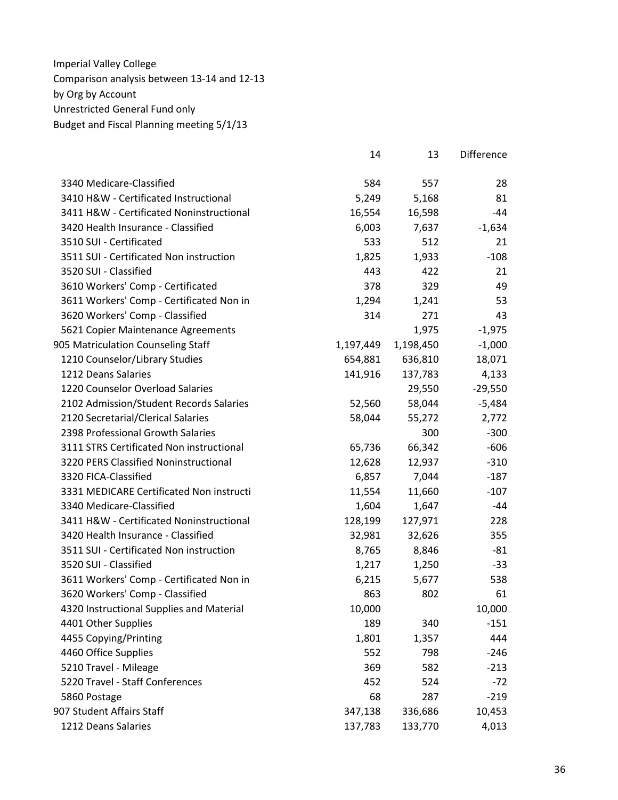|                                          | 14        | 13        | <b>Difference</b> |
|------------------------------------------|-----------|-----------|-------------------|
| 3340 Medicare-Classified                 | 584       | 557       | 28                |
| 3410 H&W - Certificated Instructional    | 5,249     | 5,168     | 81                |
| 3411 H&W - Certificated Noninstructional | 16,554    | 16,598    | -44               |
| 3420 Health Insurance - Classified       | 6,003     | 7,637     | $-1,634$          |
| 3510 SUI - Certificated                  | 533       | 512       | 21                |
| 3511 SUI - Certificated Non instruction  | 1,825     | 1,933     | $-108$            |
| 3520 SUI - Classified                    | 443       | 422       | 21                |
| 3610 Workers' Comp - Certificated        | 378       | 329       | 49                |
| 3611 Workers' Comp - Certificated Non in | 1,294     | 1,241     | 53                |
| 3620 Workers' Comp - Classified          | 314       | 271       | 43                |
| 5621 Copier Maintenance Agreements       |           | 1,975     | $-1,975$          |
| 905 Matriculation Counseling Staff       | 1,197,449 | 1,198,450 | $-1,000$          |
| 1210 Counselor/Library Studies           | 654,881   | 636,810   | 18,071            |
| 1212 Deans Salaries                      | 141,916   | 137,783   | 4,133             |
| 1220 Counselor Overload Salaries         |           | 29,550    | $-29,550$         |
| 2102 Admission/Student Records Salaries  | 52,560    | 58,044    | $-5,484$          |
| 2120 Secretarial/Clerical Salaries       | 58,044    | 55,272    | 2,772             |
| 2398 Professional Growth Salaries        |           | 300       | $-300$            |
| 3111 STRS Certificated Non instructional | 65,736    | 66,342    | $-606$            |
| 3220 PERS Classified Noninstructional    | 12,628    | 12,937    | $-310$            |
| 3320 FICA-Classified                     | 6,857     | 7,044     | $-187$            |
| 3331 MEDICARE Certificated Non instructi | 11,554    | 11,660    | $-107$            |
| 3340 Medicare-Classified                 | 1,604     | 1,647     | -44               |
| 3411 H&W - Certificated Noninstructional | 128,199   | 127,971   | 228               |
| 3420 Health Insurance - Classified       | 32,981    | 32,626    | 355               |
| 3511 SUI - Certificated Non instruction  | 8,765     | 8,846     | $-81$             |
| 3520 SUI - Classified                    | 1,217     | 1,250     | $-33$             |
| 3611 Workers' Comp - Certificated Non in | 6,215     | 5,677     | 538               |
| 3620 Workers' Comp - Classified          | 863       | 802       | 61                |
| 4320 Instructional Supplies and Material | 10,000    |           | 10,000            |
| 4401 Other Supplies                      | 189       | 340       | $-151$            |
| 4455 Copying/Printing                    | 1,801     | 1,357     | 444               |
| 4460 Office Supplies                     | 552       | 798       | $-246$            |
| 5210 Travel - Mileage                    | 369       | 582       | $-213$            |
| 5220 Travel - Staff Conferences          | 452       | 524       | $-72$             |
| 5860 Postage                             | 68        | 287       | $-219$            |
| 907 Student Affairs Staff                | 347,138   | 336,686   | 10,453            |
| 1212 Deans Salaries                      | 137,783   | 133,770   | 4,013             |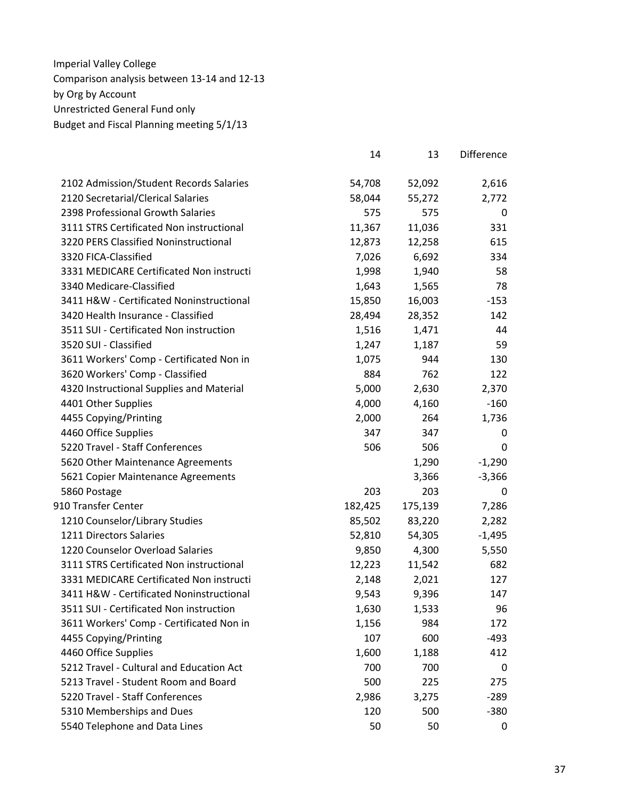|                                          | 14      | 13      | <b>Difference</b> |
|------------------------------------------|---------|---------|-------------------|
| 2102 Admission/Student Records Salaries  | 54,708  | 52,092  | 2,616             |
| 2120 Secretarial/Clerical Salaries       | 58,044  | 55,272  | 2,772             |
| 2398 Professional Growth Salaries        | 575     | 575     | 0                 |
| 3111 STRS Certificated Non instructional | 11,367  | 11,036  | 331               |
| 3220 PERS Classified Noninstructional    | 12,873  | 12,258  | 615               |
| 3320 FICA-Classified                     | 7,026   | 6,692   | 334               |
| 3331 MEDICARE Certificated Non instructi | 1,998   | 1,940   | 58                |
| 3340 Medicare-Classified                 | 1,643   | 1,565   | 78                |
| 3411 H&W - Certificated Noninstructional | 15,850  | 16,003  | $-153$            |
| 3420 Health Insurance - Classified       | 28,494  | 28,352  | 142               |
| 3511 SUI - Certificated Non instruction  | 1,516   | 1,471   | 44                |
| 3520 SUI - Classified                    | 1,247   | 1,187   | 59                |
| 3611 Workers' Comp - Certificated Non in | 1,075   | 944     | 130               |
| 3620 Workers' Comp - Classified          | 884     | 762     | 122               |
| 4320 Instructional Supplies and Material | 5,000   | 2,630   | 2,370             |
| 4401 Other Supplies                      | 4,000   | 4,160   | $-160$            |
| 4455 Copying/Printing                    | 2,000   | 264     | 1,736             |
| 4460 Office Supplies                     | 347     | 347     | 0                 |
| 5220 Travel - Staff Conferences          | 506     | 506     | 0                 |
| 5620 Other Maintenance Agreements        |         | 1,290   | $-1,290$          |
| 5621 Copier Maintenance Agreements       |         | 3,366   | $-3,366$          |
| 5860 Postage                             | 203     | 203     | 0                 |
| 910 Transfer Center                      | 182,425 | 175,139 | 7,286             |
| 1210 Counselor/Library Studies           | 85,502  | 83,220  | 2,282             |
| 1211 Directors Salaries                  | 52,810  | 54,305  | $-1,495$          |
| 1220 Counselor Overload Salaries         | 9,850   | 4,300   | 5,550             |
| 3111 STRS Certificated Non instructional | 12,223  | 11,542  | 682               |
| 3331 MEDICARE Certificated Non instructi | 2,148   | 2,021   | 127               |
| 3411 H&W - Certificated Noninstructional | 9,543   | 9,396   | 147               |
| 3511 SUI - Certificated Non instruction  | 1,630   | 1,533   | 96                |
| 3611 Workers' Comp - Certificated Non in | 1,156   | 984     | 172               |
| 4455 Copying/Printing                    | 107     | 600     | $-493$            |
| 4460 Office Supplies                     | 1,600   | 1,188   | 412               |
| 5212 Travel - Cultural and Education Act | 700     | 700     | 0                 |
| 5213 Travel - Student Room and Board     | 500     | 225     | 275               |
| 5220 Travel - Staff Conferences          | 2,986   | 3,275   | $-289$            |
| 5310 Memberships and Dues                | 120     | 500     | $-380$            |
| 5540 Telephone and Data Lines            | 50      | 50      | 0                 |